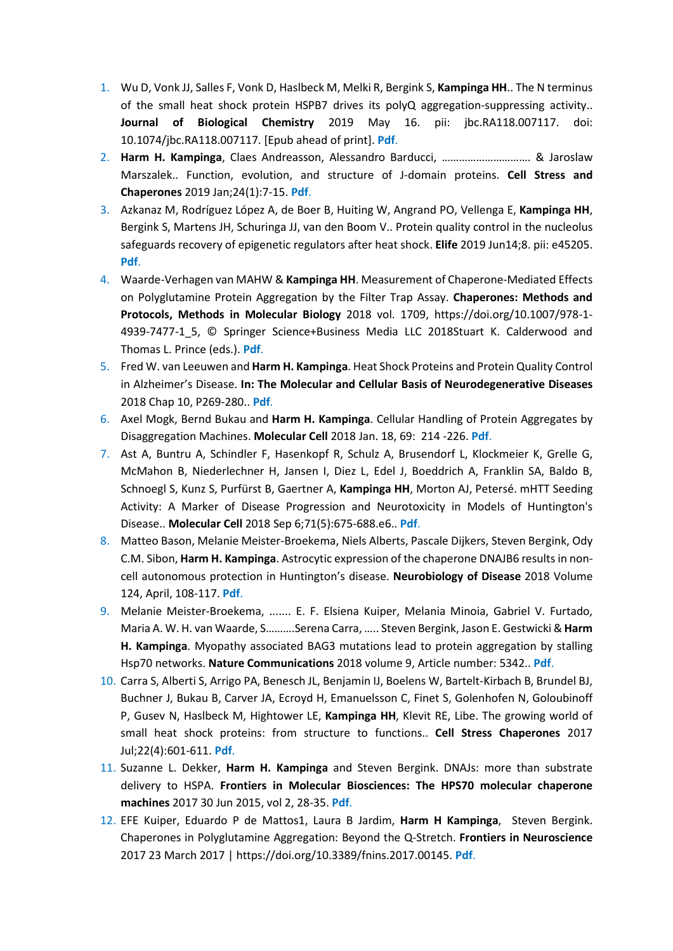- 1. Wu D, Vonk JJ, Salles F, Vonk D, Haslbeck M, Melki R, Bergink S, **Kampinga HH**.. The N terminus of the small heat shock protein HSPB7 drives its polyQ aggregation-suppressing activity.. **Journal of Biological Chemistry** 2019 May 16. pii: jbc.RA118.007117. doi: 10.1074/jbc.RA118.007117. [Epub ahead of print]. **[Pdf](http://www.jbc.org/content/early/2019/05/16/jbc.RA118.007117)**.
- 2. **Harm H. Kampinga**, Claes Andreasson, Alessandro Barducci, …………………………. & Jaroslaw Marszalek.. Function, evolution, and structure of J-domain proteins. **Cell Stress and Chaperones** 2019 Jan;24(1):7-15. **[Pdf](https://link.springer.com/article/10.1007%2Fs12192-018-0948-4)**.
- 3. Azkanaz M, Rodríguez López A, de Boer B, Huiting W, Angrand PO, Vellenga E, **Kampinga HH**, Bergink S, Martens JH, Schuringa JJ, van den Boom V.. Protein quality control in the nucleolus safeguards recovery of epigenetic regulators after heat shock. **Elife** 2019 Jun14;8. pii: e45205. **[Pdf](https://www.ncbi.nlm.nih.gov/pubmed/31199242)**.
- 4. Waarde-Verhagen van MAHW & **Kampinga HH**. Measurement of Chaperone-Mediated Effects on Polyglutamine Protein Aggregation by the Filter Trap Assay. **Chaperones: Methods and Protocols, Methods in Molecular Biology** 2018 vol. 1709, https://doi.org/10.1007/978-1- 4939-7477-1\_5, © Springer Science+Business Media LLC 2018Stuart K. Calderwood and Thomas L. Prince (eds.). **[Pdf](https://link.springer.com/protocol/10.1007%2F978-1-4939-7477-1_5)**.
- 5. Fred W. van Leeuwen and **Harm H. Kampinga**. Heat Shock Proteins and Protein Quality Control in Alzheimer's Disease. **In: The Molecular and Cellular Basis of Neurodegenerative Diseases** 2018 Chap 10, P269-280.. **[Pdf](https://doi.org/10.1016/B978-0-12-811304-2.00010-9)**.
- 6. Axel Mogk, Bernd Bukau and **Harm H. Kampinga**. Cellular Handling of Protein Aggregates by Disaggregation Machines. **Molecular Cell** 2018 Jan. 18, 69: 214 -226. **[Pdf](http://www.cell.com/molecular-cell/fulltext/S1097-2765(18)30004-2)**.
- 7. Ast A, Buntru A, Schindler F, Hasenkopf R, Schulz A, Brusendorf L, Klockmeier K, Grelle G, McMahon B, Niederlechner H, Jansen I, Diez L, Edel J, Boeddrich A, Franklin SA, Baldo B, Schnoegl S, Kunz S, Purfürst B, Gaertner A, **Kampinga HH**, Morton AJ, Petersé. mHTT Seeding Activity: A Marker of Disease Progression and Neurotoxicity in Models of Huntington's Disease.. **Molecular Cell** 2018 Sep 6;71(5):675-688.e6.. **[Pdf](https://www.ncbi.nlm.nih.gov/pubmed/30193095)**.
- 8. Matteo Bason, Melanie Meister-Broekema, Niels Alberts, Pascale Dijkers, Steven Bergink, Ody C.M. Sibon, **Harm H. Kampinga**. Astrocytic expression of the chaperone DNAJB6 results in noncell autonomous protection in Huntington's disease. **Neurobiology of Disease** 2018 Volume 124, April, 108-117. **[Pdf](https://www.sciencedirect.com/science/article/pii/S0969996118304327)**.
- 9. Melanie Meister-Broekema, ....... E. F. Elsiena Kuiper, Melania Minoia, Gabriel V. Furtado, Maria A. W. H. van Waarde, S……….Serena Carra, ….. Steven Bergink, Jason E. Gestwicki & **Harm H. Kampinga**. Myopathy associated BAG3 mutations lead to protein aggregation by stalling Hsp70 networks. **Nature Communications** 2018 volume 9, Article number: 5342.. **[Pdf](https://www.nature.com/articles/s41467-018-07718-5)**.
- 10. Carra S, Alberti S, Arrigo PA, Benesch JL, Benjamin IJ, Boelens W, Bartelt-Kirbach B, Brundel BJ, Buchner J, Bukau B, Carver JA, Ecroyd H, Emanuelsson C, Finet S, Golenhofen N, Goloubinoff P, Gusev N, Haslbeck M, Hightower LE, **Kampinga HH**, Klevit RE, Libe. The growing world of small heat shock proteins: from structure to functions.. **Cell Stress Chaperones** 2017 Jul;22(4):601-611. **[Pdf](https://link.springer.com/article/10.1007%2Fs12192-017-0787-8)**.
- 11. Suzanne L. Dekker, **Harm H. Kampinga** and Steven Bergink. DNAJs: more than substrate delivery to HSPA. **Frontiers in Molecular Biosciences: The HPS70 molecular chaperone machines** 2017 30 Jun 2015, vol 2, 28-35. **[Pdf](http://journal.frontiersin.org/article/10.3389/fmolb.2015.00035/full)**.
- 12. EFE Kuiper, Eduardo P de Mattos1, Laura B Jardim, **Harm H Kampinga**, Steven Bergink. Chaperones in Polyglutamine Aggregation: Beyond the Q-Stretch. **Frontiers in Neuroscience** 2017 23 March 2017 | https://doi.org/10.3389/fnins.2017.00145. **[Pdf](http://journal.frontiersin.org/article/10.3389/fnins.2017.00145/full)**.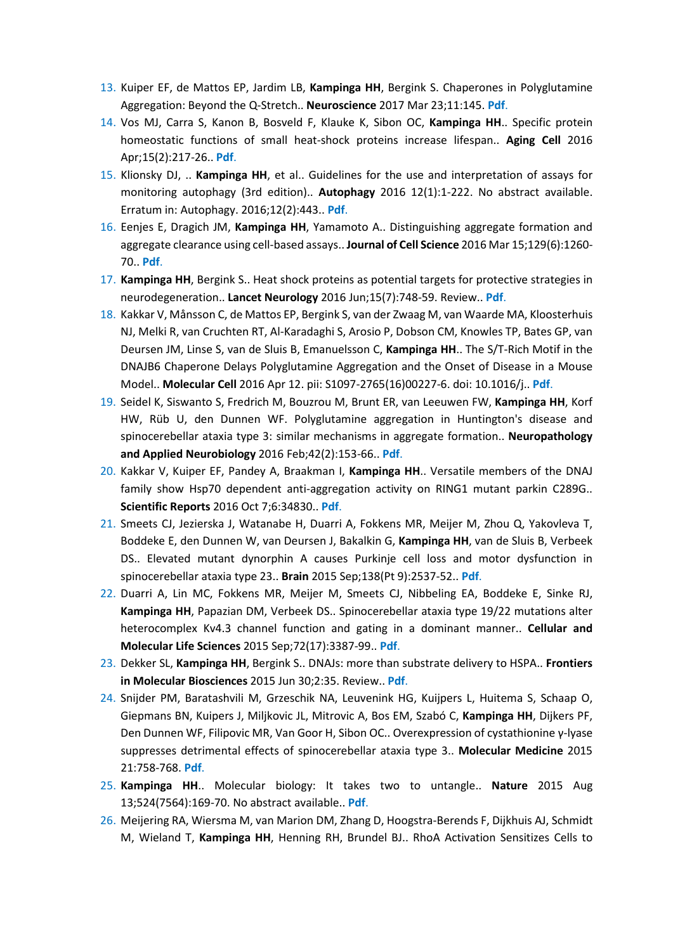- 13. Kuiper EF, de Mattos EP, Jardim LB, **Kampinga HH**, Bergink S. Chaperones in Polyglutamine Aggregation: Beyond the Q-Stretch.. **Neuroscience** 2017 Mar 23;11:145. **[Pdf](http://journal.frontiersin.org/article/10.3389/fnins.2017.00145/full)**.
- 14. Vos MJ, Carra S, Kanon B, Bosveld F, Klauke K, Sibon OC, **Kampinga HH**.. Specific protein homeostatic functions of small heat-shock proteins increase lifespan.. **Aging Cell** 2016 Apr;15(2):217-26.. **[Pdf](https://www.ncbi.nlm.nih.gov/pubmed/26705243)**.
- 15. Klionsky DJ, .. **Kampinga HH**, et al.. Guidelines for the use and interpretation of assays for monitoring autophagy (3rd edition).. **Autophagy** 2016 12(1):1-222. No abstract available. Erratum in: Autophagy. 2016;12(2):443.. **[Pdf](https://www.ncbi.nlm.nih.gov/pubmed/26799652)**.
- 16. Eenjes E, Dragich JM, **Kampinga HH**, Yamamoto A.. Distinguishing aggregate formation and aggregate clearance using cell-based assays.. **Journal of Cell Science** 2016 Mar 15;129(6):1260- 70.. **[Pdf](https://www.ncbi.nlm.nih.gov/pubmed/26818841)**.
- 17. **Kampinga HH**, Bergink S.. Heat shock proteins as potential targets for protective strategies in neurodegeneration.. **Lancet Neurology** 2016 Jun;15(7):748-59. Review.. **[Pdf](http://ac.els-cdn.com/S1474442216000995/1-s2.0-S1474442216000995-main.pdf?_tid=f1379c04-4b84-11e7-bfa4-00000aab0f6b&acdnat=1496842181_260dd0cb61418fc6cd172d7f26be6df3)**.
- 18. Kakkar V, Månsson C, de Mattos EP, Bergink S, van der Zwaag M, van Waarde MA, Kloosterhuis NJ, Melki R, van Cruchten RT, Al-Karadaghi S, Arosio P, Dobson CM, Knowles TP, Bates GP, van Deursen JM, Linse S, van de Sluis B, Emanuelsson C, **Kampinga HH**.. The S/T-Rich Motif in the DNAJB6 Chaperone Delays Polyglutamine Aggregation and the Onset of Disease in a Mouse Model.. **Molecular Cell** 2016 Apr 12. pii: S1097-2765(16)00227-6. doi: 10.1016/j.. **[Pdf](https://www.ncbi.nlm.nih.gov/pubmed/27151442)**.
- 19. Seidel K, Siswanto S, Fredrich M, Bouzrou M, Brunt ER, van Leeuwen FW, **Kampinga HH**, Korf HW, Rüb U, den Dunnen WF. Polyglutamine aggregation in Huntington's disease and spinocerebellar ataxia type 3: similar mechanisms in aggregate formation.. **Neuropathology and Applied Neurobiology** 2016 Feb;42(2):153-66.. **[Pdf](http://onlinelibrary.wiley.com/doi/10.1111/nan.12253/epdf)**.
- 20. Kakkar V, Kuiper EF, Pandey A, Braakman I, **Kampinga HH**.. Versatile members of the DNAJ family show Hsp70 dependent anti-aggregation activity on RING1 mutant parkin C289G.. **Scientific Reports** 2016 Oct 7;6:34830.. **[Pdf](https://www.ncbi.nlm.nih.gov/pubmed/27713507)**.
- 21. Smeets CJ, Jezierska J, Watanabe H, Duarri A, Fokkens MR, Meijer M, Zhou Q, Yakovleva T, Boddeke E, den Dunnen W, van Deursen J, Bakalkin G, **Kampinga HH**, van de Sluis B, Verbeek DS.. Elevated mutant dynorphin A causes Purkinje cell loss and motor dysfunction in spinocerebellar ataxia type 23.. **Brain** 2015 Sep;138(Pt 9):2537-52.. **[Pdf](https://www.ncbi.nlm.nih.gov/pubmed/26169942)**.
- 22. Duarri A, Lin MC, Fokkens MR, Meijer M, Smeets CJ, Nibbeling EA, Boddeke E, Sinke RJ, **Kampinga HH**, Papazian DM, Verbeek DS.. Spinocerebellar ataxia type 19/22 mutations alter heterocomplex Kv4.3 channel function and gating in a dominant manner.. **Cellular and Molecular Life Sciences** 2015 Sep;72(17):3387-99.. **[Pdf](https://www.ncbi.nlm.nih.gov/pubmed/25854634)**.
- 23. Dekker SL, **Kampinga HH**, Bergink S.. DNAJs: more than substrate delivery to HSPA.. **Frontiers in Molecular Biosciences** 2015 Jun 30;2:35. Review.. **[Pdf](https://www.ncbi.nlm.nih.gov/pubmed/26176011)**.
- 24. Snijder PM, Baratashvili M, Grzeschik NA, Leuvenink HG, Kuijpers L, Huitema S, Schaap O, Giepmans BN, Kuipers J, Miljkovic JL, Mitrovic A, Bos EM, Szabó C, **Kampinga HH**, Dijkers PF, Den Dunnen WF, Filipovic MR, Van Goor H, Sibon OC.. Overexpression of cystathionine γ-lyase suppresses detrimental effects of spinocerebellar ataxia type 3.. **Molecular Medicine** 2015 21:758-768. **[Pdf](https://www.ncbi.nlm.nih.gov/pubmed/26467707)**.
- 25. **Kampinga HH**.. Molecular biology: It takes two to untangle.. **Nature** 2015 Aug 13;524(7564):169-70. No abstract available.. **[Pdf](https://www.ncbi.nlm.nih.gov/pubmed/26245378)**.
- 26. Meijering RA, Wiersma M, van Marion DM, Zhang D, Hoogstra-Berends F, Dijkhuis AJ, Schmidt M, Wieland T, **Kampinga HH**, Henning RH, Brundel BJ.. RhoA Activation Sensitizes Cells to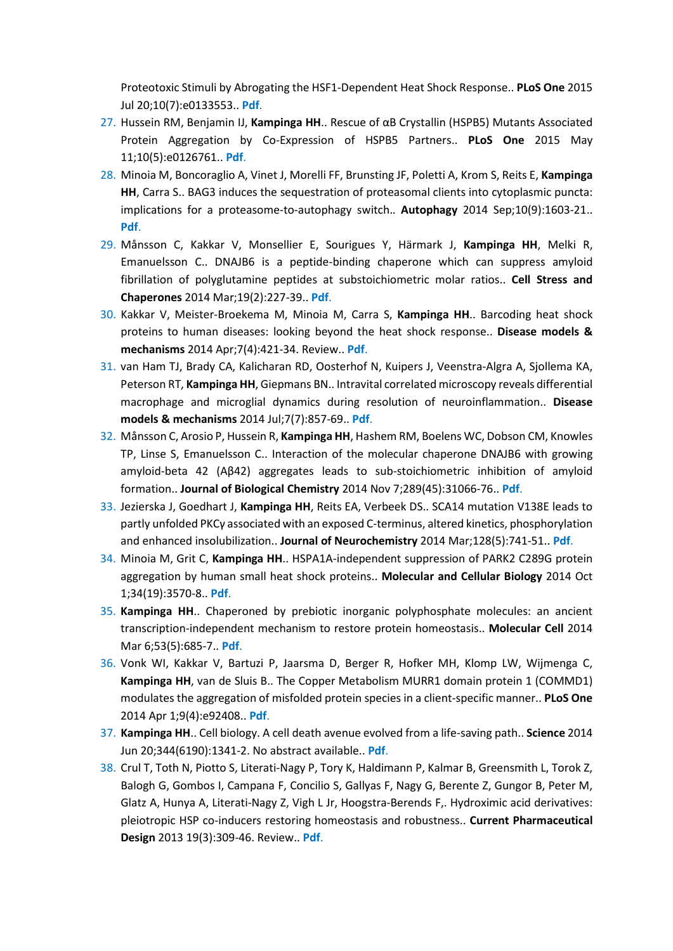Proteotoxic Stimuli by Abrogating the HSF1-Dependent Heat Shock Response.. **PLoS One** 2015 Jul 20;10(7):e0133553.. **[Pdf](https://www.ncbi.nlm.nih.gov/pubmed/26193369)**.

- 27. Hussein RM, Benjamin IJ, **Kampinga HH**.. Rescue of αB Crystallin (HSPB5) Mutants Associated Protein Aggregation by Co-Expression of HSPB5 Partners.. **PLoS One** 2015 May 11;10(5):e0126761.. **[Pdf](https://www.ncbi.nlm.nih.gov/pubmed/25961584)**.
- 28. Minoia M, Boncoraglio A, Vinet J, Morelli FF, Brunsting JF, Poletti A, Krom S, Reits E, **Kampinga HH**, Carra S.. BAG3 induces the sequestration of proteasomal clients into cytoplasmic puncta: implications for a proteasome-to-autophagy switch.. **Autophagy** 2014 Sep;10(9):1603-21.. **[Pdf](https://www.ncbi.nlm.nih.gov/pubmed/25046115)**.
- 29. Månsson C, Kakkar V, Monsellier E, Sourigues Y, Härmark J, **Kampinga HH**, Melki R, Emanuelsson C.. DNAJB6 is a peptide-binding chaperone which can suppress amyloid fibrillation of polyglutamine peptides at substoichiometric molar ratios.. **Cell Stress and Chaperones** 2014 Mar;19(2):227-39.. **[Pdf](https://www.ncbi.nlm.nih.gov/pubmed/23904097)**.
- 30. Kakkar V, Meister-Broekema M, Minoia M, Carra S, **Kampinga HH**.. Barcoding heat shock proteins to human diseases: looking beyond the heat shock response.. **Disease models & mechanisms** 2014 Apr;7(4):421-34. Review.. **[Pdf](https://www.ncbi.nlm.nih.gov/pubmed/24719117)**.
- 31. van Ham TJ, Brady CA, Kalicharan RD, Oosterhof N, Kuipers J, Veenstra-Algra A, Sjollema KA, Peterson RT, **Kampinga HH**, Giepmans BN.. Intravital correlated microscopy reveals differential macrophage and microglial dynamics during resolution of neuroinflammation.. **Disease models & mechanisms** 2014 Jul;7(7):857-69.. **[Pdf](https://www.ncbi.nlm.nih.gov/pubmed/24973753)**.
- 32. Månsson C, Arosio P, Hussein R, **Kampinga HH**, Hashem RM, Boelens WC, Dobson CM, Knowles TP, Linse S, Emanuelsson C.. Interaction of the molecular chaperone DNAJB6 with growing amyloid-beta 42 (Aβ42) aggregates leads to sub-stoichiometric inhibition of amyloid formation.. **Journal of Biological Chemistry** 2014 Nov 7;289(45):31066-76.. **[Pdf](https://www.ncbi.nlm.nih.gov/pubmed/25217638)**.
- 33. Jezierska J, Goedhart J, **Kampinga HH**, Reits EA, Verbeek DS.. SCA14 mutation V138E leads to partly unfolded PKCγ associated with an exposed C-terminus, altered kinetics, phosphorylation and enhanced insolubilization.. **Journal of Neurochemistry** 2014 Mar;128(5):741-51.. **[Pdf](https://www.ncbi.nlm.nih.gov/pubmed/24134140)**.
- 34. Minoia M, Grit C, **Kampinga HH**.. HSPA1A-independent suppression of PARK2 C289G protein aggregation by human small heat shock proteins.. **Molecular and Cellular Biology** 2014 Oct 1;34(19):3570-8.. **[Pdf](https://www.ncbi.nlm.nih.gov/pubmed/25022755)**.
- 35. **Kampinga HH**.. Chaperoned by prebiotic inorganic polyphosphate molecules: an ancient transcription-independent mechanism to restore protein homeostasis.. **Molecular Cell** 2014 Mar 6;53(5):685-7.. **[Pdf](https://www.ncbi.nlm.nih.gov/pubmed/24606917)**.
- 36. Vonk WI, Kakkar V, Bartuzi P, Jaarsma D, Berger R, Hofker MH, Klomp LW, Wijmenga C, **Kampinga HH**, van de Sluis B.. The Copper Metabolism MURR1 domain protein 1 (COMMD1) modulates the aggregation of misfolded protein species in a client-specific manner.. **PLoS One** 2014 Apr 1;9(4):e92408.. **[Pdf](https://www.ncbi.nlm.nih.gov/pubmed/24691167)**.
- 37. **Kampinga HH**.. Cell biology. A cell death avenue evolved from a life-saving path.. **Science** 2014 Jun 20;344(6190):1341-2. No abstract available.. **[Pdf](https://www.ncbi.nlm.nih.gov/pubmed/24948721)**.
- 38. Crul T, Toth N, Piotto S, Literati-Nagy P, Tory K, Haldimann P, Kalmar B, Greensmith L, Torok Z, Balogh G, Gombos I, Campana F, Concilio S, Gallyas F, Nagy G, Berente Z, Gungor B, Peter M, Glatz A, Hunya A, Literati-Nagy Z, Vigh L Jr, Hoogstra-Berends F,. Hydroximic acid derivatives: pleiotropic HSP co-inducers restoring homeostasis and robustness.. **Current Pharmaceutical Design** 2013 19(3):309-46. Review.. **[Pdf](https://www.ncbi.nlm.nih.gov/pubmed/22920902)**.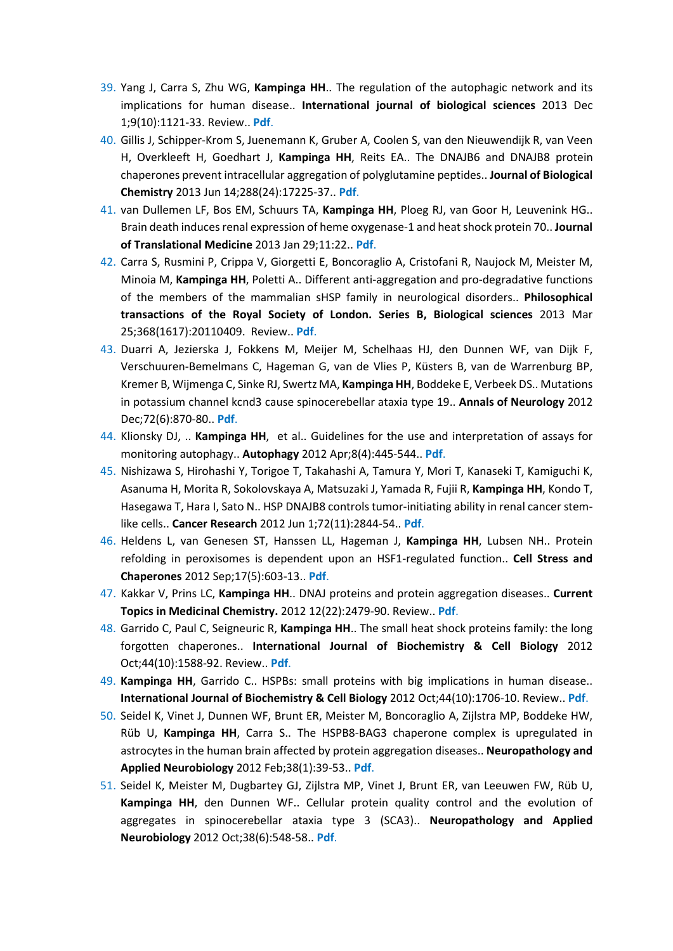- 39. Yang J, Carra S, Zhu WG, **Kampinga HH**.. The regulation of the autophagic network and its implications for human disease.. **International journal of biological sciences** 2013 Dec 1;9(10):1121-33. Review.. **[Pdf](https://www.ncbi.nlm.nih.gov/pubmed/24339733)**.
- 40. Gillis J, Schipper-Krom S, Juenemann K, Gruber A, Coolen S, van den Nieuwendijk R, van Veen H, Overkleeft H, Goedhart J, **Kampinga HH**, Reits EA.. The DNAJB6 and DNAJB8 protein chaperones prevent intracellular aggregation of polyglutamine peptides.. **Journal of Biological Chemistry** 2013 Jun 14;288(24):17225-37.. **[Pdf](https://www.ncbi.nlm.nih.gov/pubmed/23612975)**.
- 41. van Dullemen LF, Bos EM, Schuurs TA, **Kampinga HH**, Ploeg RJ, van Goor H, Leuvenink HG.. Brain death induces renal expression of heme oxygenase-1 and heat shock protein 70.. **Journal of Translational Medicine** 2013 Jan 29;11:22.. **[Pdf](https://www.ncbi.nlm.nih.gov/pubmed/23356498)**.
- 42. Carra S, Rusmini P, Crippa V, Giorgetti E, Boncoraglio A, Cristofani R, Naujock M, Meister M, Minoia M, **Kampinga HH**, Poletti A.. Different anti-aggregation and pro-degradative functions of the members of the mammalian sHSP family in neurological disorders.. **Philosophical transactions of the Royal Society of London. Series B, Biological sciences** 2013 Mar 25;368(1617):20110409. Review.. **[Pdf](https://www.ncbi.nlm.nih.gov/pubmed/23530259)**.
- 43. Duarri A, Jezierska J, Fokkens M, Meijer M, Schelhaas HJ, den Dunnen WF, van Dijk F, Verschuuren-Bemelmans C, Hageman G, van de Vlies P, Küsters B, van de Warrenburg BP, Kremer B, Wijmenga C, Sinke RJ, Swertz MA, **Kampinga HH**, Boddeke E, Verbeek DS.. Mutations in potassium channel kcnd3 cause spinocerebellar ataxia type 19.. **Annals of Neurology** 2012 Dec;72(6):870-80.. **[Pdf](https://www.ncbi.nlm.nih.gov/pubmed/23280838)**.
- 44. Klionsky DJ, .. **Kampinga HH**, et al.. Guidelines for the use and interpretation of assays for monitoring autophagy.. **Autophagy** 2012 Apr;8(4):445-544.. **[Pdf](https://www.ncbi.nlm.nih.gov/pubmed/22966490)**.
- 45. Nishizawa S, Hirohashi Y, Torigoe T, Takahashi A, Tamura Y, Mori T, Kanaseki T, Kamiguchi K, Asanuma H, Morita R, Sokolovskaya A, Matsuzaki J, Yamada R, Fujii R, **Kampinga HH**, Kondo T, Hasegawa T, Hara I, Sato N.. HSP DNAJB8 controls tumor-initiating ability in renal cancer stemlike cells.. **Cancer Research** 2012 Jun 1;72(11):2844-54.. **[Pdf](https://www.ncbi.nlm.nih.gov/pubmed/22552285)**.
- 46. Heldens L, van Genesen ST, Hanssen LL, Hageman J, **Kampinga HH**, Lubsen NH.. Protein refolding in peroxisomes is dependent upon an HSF1-regulated function.. **Cell Stress and Chaperones** 2012 Sep;17(5):603-13.. **[Pdf](https://www.ncbi.nlm.nih.gov/pubmed/22477622)**.
- 47. Kakkar V, Prins LC, **Kampinga HH**.. DNAJ proteins and protein aggregation diseases.. **Current Topics in Medicinal Chemistry.** 2012 12(22):2479-90. Review.. **[Pdf](https://www.ncbi.nlm.nih.gov/pubmed/23339302)**.
- 48. Garrido C, Paul C, Seigneuric R, **Kampinga HH**.. The small heat shock proteins family: the long forgotten chaperones.. **International Journal of Biochemistry & Cell Biology** 2012 Oct;44(10):1588-92. Review.. **[Pdf](https://www.ncbi.nlm.nih.gov/pubmed/22449631)**.
- 49. **Kampinga HH**, Garrido C.. HSPBs: small proteins with big implications in human disease.. **International Journal of Biochemistry & Cell Biology** 2012 Oct;44(10):1706-10. Review.. **[Pdf](https://www.ncbi.nlm.nih.gov/pubmed/22721753)**.
- 50. Seidel K, Vinet J, Dunnen WF, Brunt ER, Meister M, Boncoraglio A, Zijlstra MP, Boddeke HW, Rüb U, **Kampinga HH**, Carra S.. The HSPB8-BAG3 chaperone complex is upregulated in astrocytes in the human brain affected by protein aggregation diseases.. **Neuropathology and Applied Neurobiology** 2012 Feb;38(1):39-53.. **[Pdf](https://www.ncbi.nlm.nih.gov/pubmed/21696420)**.
- 51. Seidel K, Meister M, Dugbartey GJ, Zijlstra MP, Vinet J, Brunt ER, van Leeuwen FW, Rüb U, **Kampinga HH**, den Dunnen WF.. Cellular protein quality control and the evolution of aggregates in spinocerebellar ataxia type 3 (SCA3).. **Neuropathology and Applied Neurobiology** 2012 Oct;38(6):548-58.. **[Pdf](https://www.ncbi.nlm.nih.gov/pubmed/21916928)**.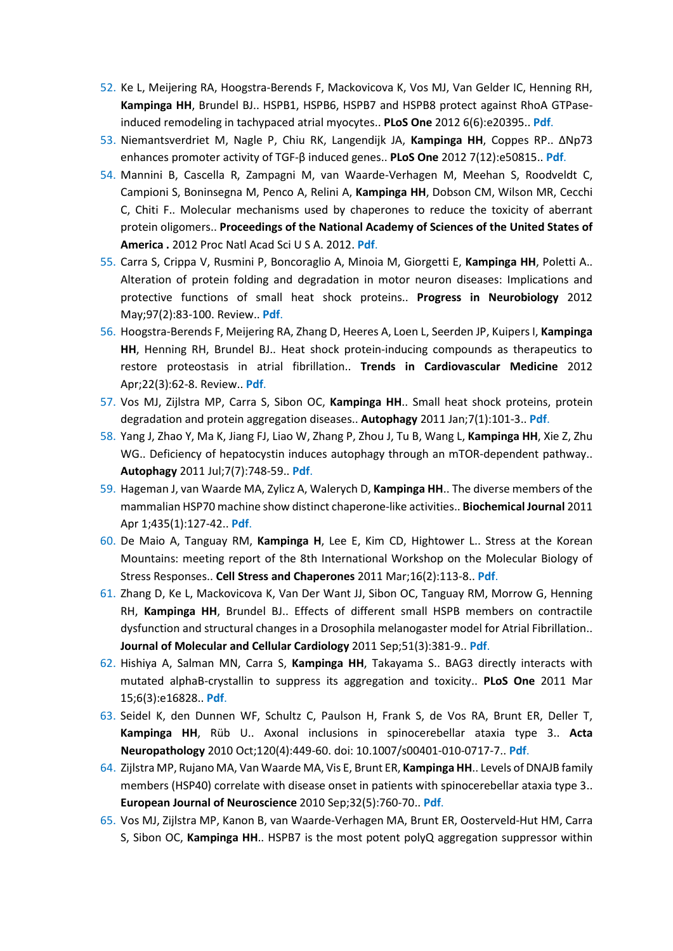- 52. Ke L, Meijering RA, Hoogstra-Berends F, Mackovicova K, Vos MJ, Van Gelder IC, Henning RH, **Kampinga HH**, Brundel BJ.. HSPB1, HSPB6, HSPB7 and HSPB8 protect against RhoA GTPaseinduced remodeling in tachypaced atrial myocytes.. **PLoS One** 2012 6(6):e20395.. **[Pdf](https://www.ncbi.nlm.nih.gov/pubmed/21731611)**.
- 53. Niemantsverdriet M, Nagle P, Chiu RK, Langendijk JA, **Kampinga HH**, Coppes RP.. ΔNp73 enhances promoter activity of TGF-β induced genes.. **PLoS One** 2012 7(12):e50815.. **[Pdf](https://www.ncbi.nlm.nih.gov/pubmed/23236396)**.
- 54. Mannini B, Cascella R, Zampagni M, van Waarde-Verhagen M, Meehan S, Roodveldt C, Campioni S, Boninsegna M, Penco A, Relini A, **Kampinga HH**, Dobson CM, Wilson MR, Cecchi C, Chiti F.. Molecular mechanisms used by chaperones to reduce the toxicity of aberrant protein oligomers.. **Proceedings of the National Academy of Sciences of the United States of America .** 2012 Proc Natl Acad Sci U S A. 2012. **[Pdf](https://www.ncbi.nlm.nih.gov/pubmed/22802614)**.
- 55. Carra S, Crippa V, Rusmini P, Boncoraglio A, Minoia M, Giorgetti E, **Kampinga HH**, Poletti A.. Alteration of protein folding and degradation in motor neuron diseases: Implications and protective functions of small heat shock proteins.. **Progress in Neurobiology** 2012 May;97(2):83-100. Review.. **[Pdf](https://www.ncbi.nlm.nih.gov/pubmed/21971574)**.
- 56. Hoogstra-Berends F, Meijering RA, Zhang D, Heeres A, Loen L, Seerden JP, Kuipers I, **Kampinga HH**, Henning RH, Brundel BJ.. Heat shock protein-inducing compounds as therapeutics to restore proteostasis in atrial fibrillation.. **Trends in Cardiovascular Medicine** 2012 Apr;22(3):62-8. Review.. **[Pdf](https://www.ncbi.nlm.nih.gov/pubmed/22863365)**.
- 57. Vos MJ, Zijlstra MP, Carra S, Sibon OC, **Kampinga HH**.. Small heat shock proteins, protein degradation and protein aggregation diseases.. **Autophagy** 2011 Jan;7(1):101-3.. **[Pdf](https://www.ncbi.nlm.nih.gov/pubmed/21045566)**.
- 58. Yang J, Zhao Y, Ma K, Jiang FJ, Liao W, Zhang P, Zhou J, Tu B, Wang L, **Kampinga HH**, Xie Z, Zhu WG.. Deficiency of hepatocystin induces autophagy through an mTOR-dependent pathway.. **Autophagy** 2011 Jul;7(7):748-59.. **[Pdf](https://www.ncbi.nlm.nih.gov/pubmed/21681021)**.
- 59. Hageman J, van Waarde MA, Zylicz A, Walerych D, **Kampinga HH**.. The diverse members of the mammalian HSP70 machine show distinct chaperone-like activities.. **Biochemical Journal** 2011 Apr 1;435(1):127-42.. **[Pdf](https://www.ncbi.nlm.nih.gov/pubmed/21231916)**.
- 60. De Maio A, Tanguay RM, **Kampinga H**, Lee E, Kim CD, Hightower L.. Stress at the Korean Mountains: meeting report of the 8th International Workshop on the Molecular Biology of Stress Responses.. **Cell Stress and Chaperones** 2011 Mar;16(2):113-8.. **[Pdf](https://www.ncbi.nlm.nih.gov/pubmed/20886326)**.
- 61. Zhang D, Ke L, Mackovicova K, Van Der Want JJ, Sibon OC, Tanguay RM, Morrow G, Henning RH, **Kampinga HH**, Brundel BJ.. Effects of different small HSPB members on contractile dysfunction and structural changes in a Drosophila melanogaster model for Atrial Fibrillation.. **Journal of Molecular and Cellular Cardiology** 2011 Sep;51(3):381-9.. **[Pdf](https://www.ncbi.nlm.nih.gov/pubmed/21745477)**.
- 62. Hishiya A, Salman MN, Carra S, **Kampinga HH**, Takayama S.. BAG3 directly interacts with mutated alphaB-crystallin to suppress its aggregation and toxicity.. **PLoS One** 2011 Mar 15;6(3):e16828.. **[Pdf](https://www.ncbi.nlm.nih.gov/pubmed/21423662)**.
- 63. Seidel K, den Dunnen WF, Schultz C, Paulson H, Frank S, de Vos RA, Brunt ER, Deller T, **Kampinga HH**, Rüb U.. Axonal inclusions in spinocerebellar ataxia type 3.. **Acta Neuropathology** 2010 Oct;120(4):449-60. doi: 10.1007/s00401-010-0717-7.. **[Pdf](http://download.springer.com/static/pdf/780/art%253A10.1007%252Fs00401-010-0717-7.pdf?originUrl=http%3A%2F%2Flink.springer.com%2Farticle%2F10.1007%2Fs00401-010-0717-7&token2=exp=1478099325%7Eacl=%2Fstatic%2Fpdf%2F780%2Fart%25253A10.1007%25252Fs00401-010-071)**.
- 64. Zijlstra MP, Rujano MA, Van Waarde MA, Vis E, Brunt ER, **Kampinga HH**.. Levels of DNAJB family members (HSP40) correlate with disease onset in patients with spinocerebellar ataxia type 3.. **European Journal of Neuroscience** 2010 Sep;32(5):760-70.. **[Pdf](https://www.ncbi.nlm.nih.gov/pubmed/20726892)**.
- 65. Vos MJ, Zijlstra MP, Kanon B, van Waarde-Verhagen MA, Brunt ER, Oosterveld-Hut HM, Carra S, Sibon OC, **Kampinga HH**.. HSPB7 is the most potent polyQ aggregation suppressor within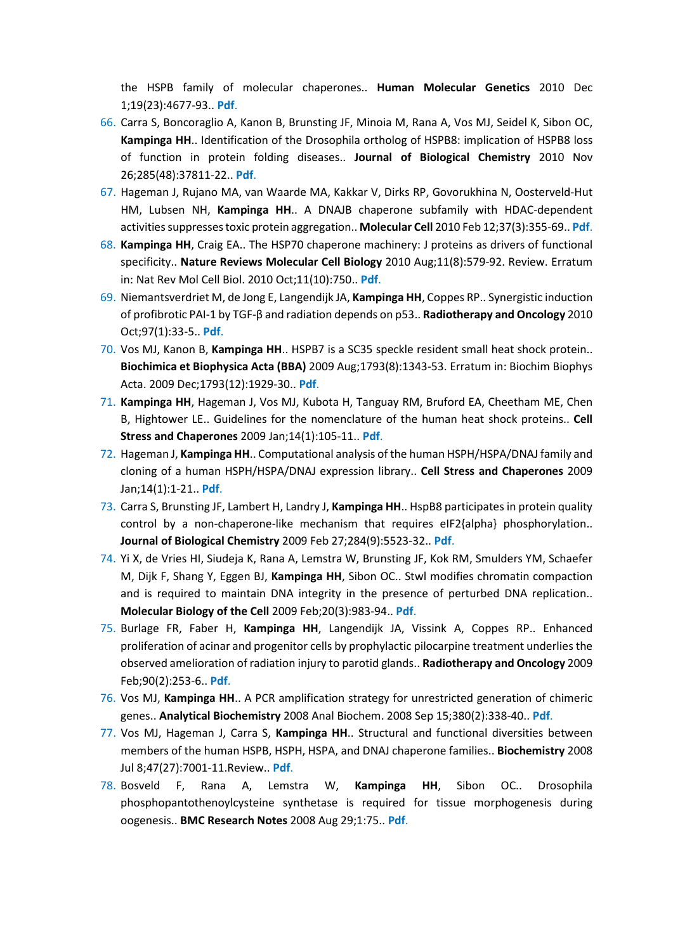the HSPB family of molecular chaperones.. **Human Molecular Genetics** 2010 Dec 1;19(23):4677-93.. **[Pdf](https://www.ncbi.nlm.nih.gov/pubmed/20843828)**.

- 66. Carra S, Boncoraglio A, Kanon B, Brunsting JF, Minoia M, Rana A, Vos MJ, Seidel K, Sibon OC, **Kampinga HH**.. Identification of the Drosophila ortholog of HSPB8: implication of HSPB8 loss of function in protein folding diseases.. **Journal of Biological Chemistry** 2010 Nov 26;285(48):37811-22.. **[Pdf](https://www.ncbi.nlm.nih.gov/pubmed/20858900)**.
- 67. Hageman J, Rujano MA, van Waarde MA, Kakkar V, Dirks RP, Govorukhina N, Oosterveld-Hut HM, Lubsen NH, **Kampinga HH**.. A DNAJB chaperone subfamily with HDAC-dependent activities suppresses toxic protein aggregation.. **Molecular Cell** 2010 Feb 12;37(3):355-69.. **[Pdf](https://www.ncbi.nlm.nih.gov/pubmed/20159555)**.
- 68. **Kampinga HH**, Craig EA.. The HSP70 chaperone machinery: J proteins as drivers of functional specificity.. **Nature Reviews Molecular Cell Biology** 2010 Aug;11(8):579-92. Review. Erratum in: Nat Rev Mol Cell Biol. 2010 Oct;11(10):750.. **[Pdf](https://www.ncbi.nlm.nih.gov/pubmed/20651708)**.
- 69. Niemantsverdriet M, de Jong E, Langendijk JA, **Kampinga HH**, Coppes RP.. Synergistic induction of profibrotic PAI-1 by TGF-β and radiation depends on p53.. **Radiotherapy and Oncology** 2010 Oct;97(1):33-5.. **[Pdf](https://www.ncbi.nlm.nih.gov/pubmed/20435362)**.
- 70. Vos MJ, Kanon B, **Kampinga HH**.. HSPB7 is a SC35 speckle resident small heat shock protein.. **Biochimica et Biophysica Acta (BBA)** 2009 Aug;1793(8):1343-53. Erratum in: Biochim Biophys Acta. 2009 Dec;1793(12):1929-30.. **[Pdf](https://www.ncbi.nlm.nih.gov/pubmed/19464326)**.
- 71. **Kampinga HH**, Hageman J, Vos MJ, Kubota H, Tanguay RM, Bruford EA, Cheetham ME, Chen B, Hightower LE.. Guidelines for the nomenclature of the human heat shock proteins.. **Cell Stress and Chaperones** 2009 Jan;14(1):105-11.. **[Pdf](https://www.ncbi.nlm.nih.gov/pubmed/18663603)**.
- 72. Hageman J, **Kampinga HH**.. Computational analysis of the human HSPH/HSPA/DNAJ family and cloning of a human HSPH/HSPA/DNAJ expression library.. **Cell Stress and Chaperones** 2009 Jan;14(1):1-21.. **[Pdf](https://www.ncbi.nlm.nih.gov/pubmed/18686016)**.
- 73. Carra S, Brunsting JF, Lambert H, Landry J, **Kampinga HH**.. HspB8 participates in protein quality control by a non-chaperone-like mechanism that requires eIF2{alpha} phosphorylation.. **Journal of Biological Chemistry** 2009 Feb 27;284(9):5523-32.. **[Pdf](https://www.ncbi.nlm.nih.gov/pubmed/19114712)**.
- 74. Yi X, de Vries HI, Siudeja K, Rana A, Lemstra W, Brunsting JF, Kok RM, Smulders YM, Schaefer M, Dijk F, Shang Y, Eggen BJ, **Kampinga HH**, Sibon OC.. Stwl modifies chromatin compaction and is required to maintain DNA integrity in the presence of perturbed DNA replication.. **Molecular Biology of the Cell** 2009 Feb;20(3):983-94.. **[Pdf](https://www.ncbi.nlm.nih.gov/pubmed/19056684)**.
- 75. Burlage FR, Faber H, **Kampinga HH**, Langendijk JA, Vissink A, Coppes RP.. Enhanced proliferation of acinar and progenitor cells by prophylactic pilocarpine treatment underlies the observed amelioration of radiation injury to parotid glands.. **Radiotherapy and Oncology** 2009 Feb;90(2):253-6.. **[Pdf](https://www.ncbi.nlm.nih.gov/pubmed/19136174)**.
- 76. Vos MJ, **Kampinga HH**.. A PCR amplification strategy for unrestricted generation of chimeric genes.. **Analytical Biochemistry** 2008 Anal Biochem. 2008 Sep 15;380(2):338-40.. **[Pdf](https://www.ncbi.nlm.nih.gov/pubmed/18555003)**.
- 77. Vos MJ, Hageman J, Carra S, **Kampinga HH**.. Structural and functional diversities between members of the human HSPB, HSPH, HSPA, and DNAJ chaperone families.. **Biochemistry** 2008 Jul 8;47(27):7001-11.Review.. **[Pdf](https://www.ncbi.nlm.nih.gov/pubmed/18557634)**.
- 78. Bosveld F, Rana A, Lemstra W, **Kampinga HH**, Sibon OC.. Drosophila phosphopantothenoylcysteine synthetase is required for tissue morphogenesis during oogenesis.. **BMC Research Notes** 2008 Aug 29;1:75.. **[Pdf](https://www.ncbi.nlm.nih.gov/pubmed/18759961)**.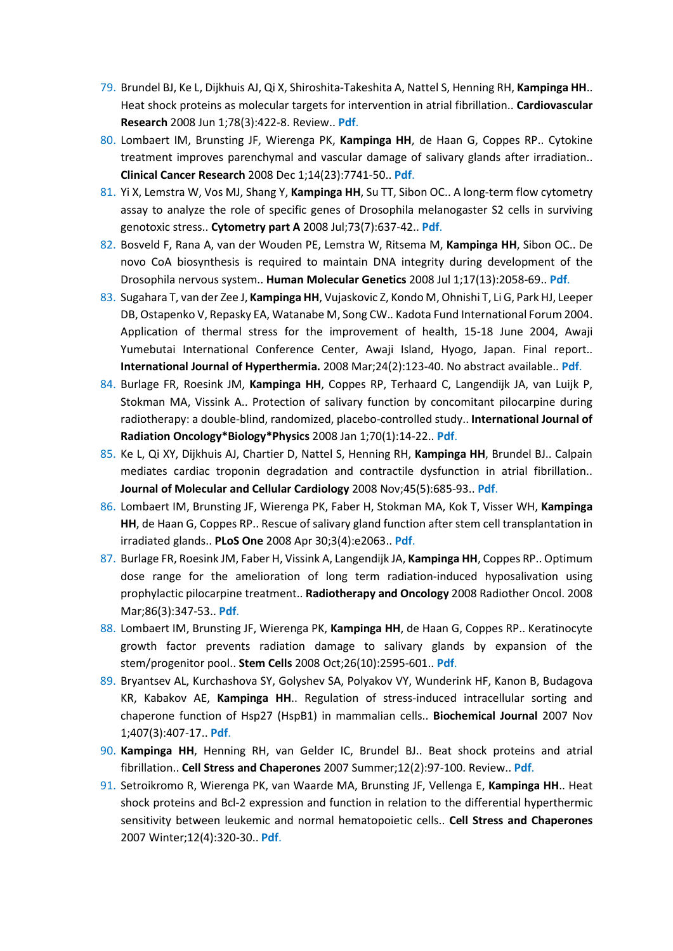- 79. Brundel BJ, Ke L, Dijkhuis AJ, Qi X, Shiroshita-Takeshita A, Nattel S, Henning RH, **Kampinga HH**.. Heat shock proteins as molecular targets for intervention in atrial fibrillation.. **Cardiovascular Research** 2008 Jun 1;78(3):422-8. Review.. **[Pdf](https://www.ncbi.nlm.nih.gov/pubmed/18326558)**.
- 80. Lombaert IM, Brunsting JF, Wierenga PK, **Kampinga HH**, de Haan G, Coppes RP.. Cytokine treatment improves parenchymal and vascular damage of salivary glands after irradiation.. **Clinical Cancer Research** 2008 Dec 1;14(23):7741-50.. **[Pdf](https://www.ncbi.nlm.nih.gov/pubmed/19047101)**.
- 81. Yi X, Lemstra W, Vos MJ, Shang Y, **Kampinga HH**, Su TT, Sibon OC.. A long-term flow cytometry assay to analyze the role of specific genes of Drosophila melanogaster S2 cells in surviving genotoxic stress.. **Cytometry part A** 2008 Jul;73(7):637-42.. **[Pdf](https://www.ncbi.nlm.nih.gov/pubmed/18496848)**.
- 82. Bosveld F, Rana A, van der Wouden PE, Lemstra W, Ritsema M, **Kampinga HH**, Sibon OC.. De novo CoA biosynthesis is required to maintain DNA integrity during development of the Drosophila nervous system.. **Human Molecular Genetics** 2008 Jul 1;17(13):2058-69.. **[Pdf](https://www.ncbi.nlm.nih.gov/pubmed/18407920)**.
- 83. Sugahara T, van der Zee J, **Kampinga HH**, Vujaskovic Z, Kondo M, Ohnishi T, Li G, Park HJ, Leeper DB, Ostapenko V, Repasky EA, Watanabe M, Song CW.. Kadota Fund International Forum 2004. Application of thermal stress for the improvement of health, 15-18 June 2004, Awaji Yumebutai International Conference Center, Awaji Island, Hyogo, Japan. Final report.. **International Journal of Hyperthermia.** 2008 Mar;24(2):123-40. No abstract available.. **[Pdf](https://www.ncbi.nlm.nih.gov/pubmed/18283589)**.
- 84. Burlage FR, Roesink JM, **Kampinga HH**, Coppes RP, Terhaard C, Langendijk JA, van Luijk P, Stokman MA, Vissink A.. Protection of salivary function by concomitant pilocarpine during radiotherapy: a double-blind, randomized, placebo-controlled study.. **International Journal of Radiation Oncology\*Biology\*Physics** 2008 Jan 1;70(1):14-22.. **[Pdf](https://www.ncbi.nlm.nih.gov/pubmed/17869018)**.
- 85. Ke L, Qi XY, Dijkhuis AJ, Chartier D, Nattel S, Henning RH, **Kampinga HH**, Brundel BJ.. Calpain mediates cardiac troponin degradation and contractile dysfunction in atrial fibrillation.. **Journal of Molecular and Cellular Cardiology** 2008 Nov;45(5):685-93.. **[Pdf](https://www.ncbi.nlm.nih.gov/pubmed/18823990)**.
- 86. Lombaert IM, Brunsting JF, Wierenga PK, Faber H, Stokman MA, Kok T, Visser WH, **Kampinga HH**, de Haan G, Coppes RP.. Rescue of salivary gland function after stem cell transplantation in irradiated glands.. **PLoS One** 2008 Apr 30;3(4):e2063.. **[Pdf](https://www.ncbi.nlm.nih.gov/pubmed/18446241)**.
- 87. Burlage FR, Roesink JM, Faber H, Vissink A, Langendijk JA, **Kampinga HH**, Coppes RP.. Optimum dose range for the amelioration of long term radiation-induced hyposalivation using prophylactic pilocarpine treatment.. **Radiotherapy and Oncology** 2008 Radiother Oncol. 2008 Mar;86(3):347-53.. **[Pdf](https://www.ncbi.nlm.nih.gov/pubmed/18023902)**.
- 88. Lombaert IM, Brunsting JF, Wierenga PK, **Kampinga HH**, de Haan G, Coppes RP.. Keratinocyte growth factor prevents radiation damage to salivary glands by expansion of the stem/progenitor pool.. **Stem Cells** 2008 Oct;26(10):2595-601.. **[Pdf](https://www.ncbi.nlm.nih.gov/pubmed/18669914)**.
- 89. Bryantsev AL, Kurchashova SY, Golyshev SA, Polyakov VY, Wunderink HF, Kanon B, Budagova KR, Kabakov AE, **Kampinga HH**.. Regulation of stress-induced intracellular sorting and chaperone function of Hsp27 (HspB1) in mammalian cells.. **Biochemical Journal** 2007 Nov 1;407(3):407-17.. **[Pdf](https://www.ncbi.nlm.nih.gov/pubmed/17650072)**.
- 90. **Kampinga HH**, Henning RH, van Gelder IC, Brundel BJ.. Beat shock proteins and atrial fibrillation.. **Cell Stress and Chaperones** 2007 Summer;12(2):97-100. Review.. **[Pdf](https://www.ncbi.nlm.nih.gov/pubmed/17688187)**.
- 91. Setroikromo R, Wierenga PK, van Waarde MA, Brunsting JF, Vellenga E, **Kampinga HH**.. Heat shock proteins and Bcl-2 expression and function in relation to the differential hyperthermic sensitivity between leukemic and normal hematopoietic cells.. **Cell Stress and Chaperones** 2007 Winter;12(4):320-30.. **[Pdf](https://www.ncbi.nlm.nih.gov/pubmed/18229451)**.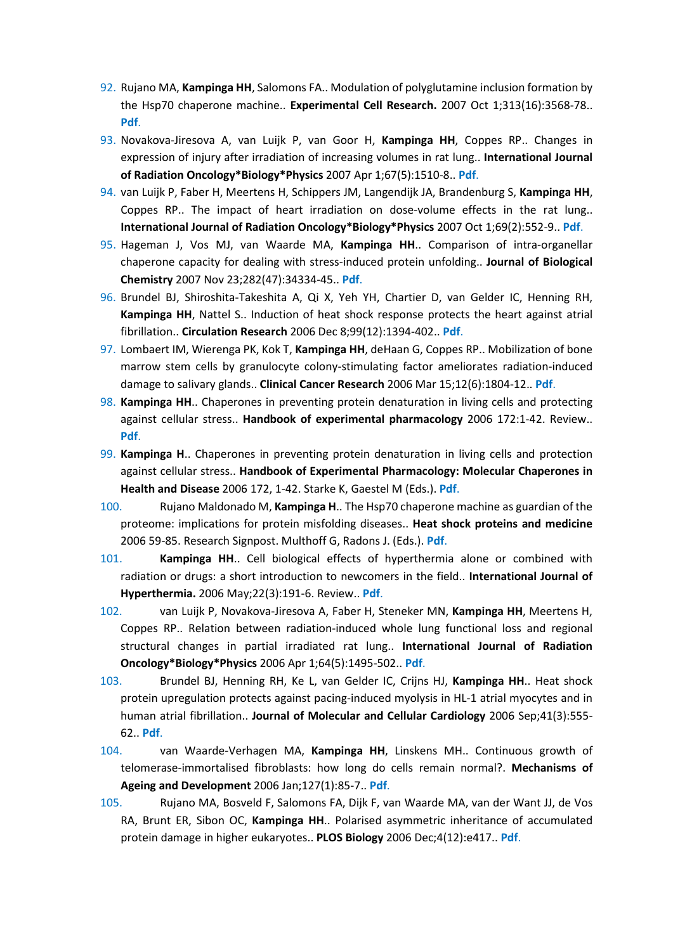- 92. Rujano MA, **Kampinga HH**, Salomons FA.. Modulation of polyglutamine inclusion formation by the Hsp70 chaperone machine.. **Experimental Cell Research.** 2007 Oct 1;313(16):3568-78.. **[Pdf](https://www.ncbi.nlm.nih.gov/pubmed/17822698)**.
- 93. Novakova-Jiresova A, van Luijk P, van Goor H, **Kampinga HH**, Coppes RP.. Changes in expression of injury after irradiation of increasing volumes in rat lung.. **International Journal of Radiation Oncology\*Biology\*Physics** 2007 Apr 1;67(5):1510-8.. **[Pdf](https://www.ncbi.nlm.nih.gov/pubmed/17394947)**.
- 94. van Luijk P, Faber H, Meertens H, Schippers JM, Langendijk JA, Brandenburg S, **Kampinga HH**, Coppes RP.. The impact of heart irradiation on dose-volume effects in the rat lung.. **International Journal of Radiation Oncology\*Biology\*Physics** 2007 Oct 1;69(2):552-9.. **[Pdf](https://www.ncbi.nlm.nih.gov/pubmed/17869668)**.
- 95. Hageman J, Vos MJ, van Waarde MA, **Kampinga HH**.. Comparison of intra-organellar chaperone capacity for dealing with stress-induced protein unfolding.. **Journal of Biological Chemistry** 2007 Nov 23;282(47):34334-45.. **[Pdf](https://www.ncbi.nlm.nih.gov/pubmed/17875648)**.
- 96. Brundel BJ, Shiroshita-Takeshita A, Qi X, Yeh YH, Chartier D, van Gelder IC, Henning RH, **Kampinga HH**, Nattel S.. Induction of heat shock response protects the heart against atrial fibrillation.. **Circulation Research** 2006 Dec 8;99(12):1394-402.. **[Pdf](https://www.ncbi.nlm.nih.gov/pubmed/17110598)**.
- 97. Lombaert IM, Wierenga PK, Kok T, **Kampinga HH**, deHaan G, Coppes RP.. Mobilization of bone marrow stem cells by granulocyte colony-stimulating factor ameliorates radiation-induced damage to salivary glands.. **Clinical Cancer Research** 2006 Mar 15;12(6):1804-12.. **[Pdf](https://www.ncbi.nlm.nih.gov/pubmed/16551865)**.
- 98. **Kampinga HH**.. Chaperones in preventing protein denaturation in living cells and protecting against cellular stress.. **Handbook of experimental pharmacology** 2006 172:1-42. Review.. **[Pdf](https://www.ncbi.nlm.nih.gov/pubmed/16610353)**.
- 99. **Kampinga H**.. Chaperones in preventing protein denaturation in living cells and protection against cellular stress.. **Handbook of Experimental Pharmacology: Molecular Chaperones in Health and Disease** 2006 172, 1-42. Starke K, Gaestel M (Eds.). **Pdf**.
- 100. Rujano Maldonado M, **Kampinga H**.. The Hsp70 chaperone machine as guardian of the proteome: implications for protein misfolding diseases.. **Heat shock proteins and medicine** 2006 59-85. Research Signpost. Multhoff G, Radons J. (Eds.). **Pdf**.
- 101. **Kampinga HH**.. Cell biological effects of hyperthermia alone or combined with radiation or drugs: a short introduction to newcomers in the field.. **International Journal of Hyperthermia.** 2006 May;22(3):191-6. Review.. **[Pdf](https://www.ncbi.nlm.nih.gov/pubmed/16754338)**.
- 102. van Luijk P, Novakova-Jiresova A, Faber H, Steneker MN, **Kampinga HH**, Meertens H, Coppes RP.. Relation between radiation-induced whole lung functional loss and regional structural changes in partial irradiated rat lung.. **International Journal of Radiation Oncology\*Biology\*Physics** 2006 Apr 1;64(5):1495-502.. **[Pdf](https://www.ncbi.nlm.nih.gov/pubmed/16580500)**.
- 103. Brundel BJ, Henning RH, Ke L, van Gelder IC, Crijns HJ, **Kampinga HH**.. Heat shock protein upregulation protects against pacing-induced myolysis in HL-1 atrial myocytes and in human atrial fibrillation.. **Journal of Molecular and Cellular Cardiology** 2006 Sep;41(3):555- 62.. **[Pdf](https://www.ncbi.nlm.nih.gov/pubmed/16876820)**.
- 104. van Waarde-Verhagen MA, **Kampinga HH**, Linskens MH.. Continuous growth of telomerase-immortalised fibroblasts: how long do cells remain normal?. **Mechanisms of Ageing and Development** 2006 Jan;127(1):85-7.. **[Pdf](https://www.ncbi.nlm.nih.gov/pubmed/16213574)**.
- 105. Rujano MA, Bosveld F, Salomons FA, Dijk F, van Waarde MA, van der Want JJ, de Vos RA, Brunt ER, Sibon OC, **Kampinga HH**.. Polarised asymmetric inheritance of accumulated protein damage in higher eukaryotes.. **PLOS Biology** 2006 Dec;4(12):e417.. **[Pdf](https://www.ncbi.nlm.nih.gov/pubmed/17147470)**.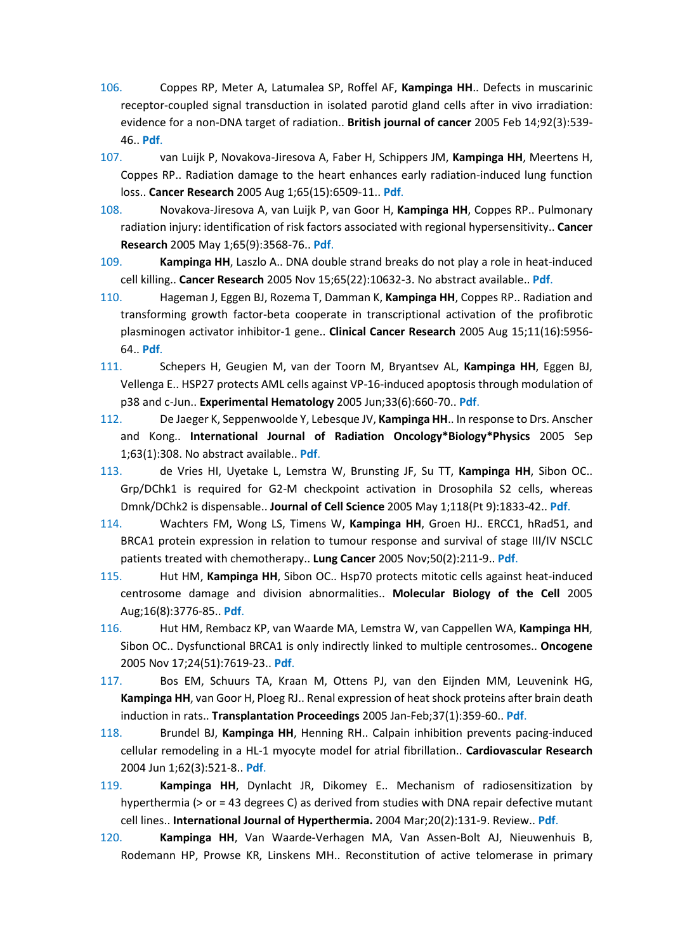- 106. Coppes RP, Meter A, Latumalea SP, Roffel AF, **Kampinga HH**.. Defects in muscarinic receptor-coupled signal transduction in isolated parotid gland cells after in vivo irradiation: evidence for a non-DNA target of radiation.. **British journal of cancer** 2005 Feb 14;92(3):539- 46.. **[Pdf](https://www.ncbi.nlm.nih.gov/pubmed/15668705)**.
- 107. van Luijk P, Novakova-Jiresova A, Faber H, Schippers JM, **Kampinga HH**, Meertens H, Coppes RP.. Radiation damage to the heart enhances early radiation-induced lung function loss.. **Cancer Research** 2005 Aug 1;65(15):6509-11.. **[Pdf](https://www.ncbi.nlm.nih.gov/pubmed/16061627)**.
- 108. Novakova-Jiresova A, van Luijk P, van Goor H, **Kampinga HH**, Coppes RP.. Pulmonary radiation injury: identification of risk factors associated with regional hypersensitivity.. **Cancer Research** 2005 May 1;65(9):3568-76.. **[Pdf](https://www.ncbi.nlm.nih.gov/pubmed/15867350)**.
- 109. **Kampinga HH**, Laszlo A.. DNA double strand breaks do not play a role in heat-induced cell killing.. **Cancer Research** 2005 Nov 15;65(22):10632-3. No abstract available.. **[Pdf](https://www.ncbi.nlm.nih.gov/pubmed/16288057)**.
- 110. Hageman J, Eggen BJ, Rozema T, Damman K, **Kampinga HH**, Coppes RP.. Radiation and transforming growth factor-beta cooperate in transcriptional activation of the profibrotic plasminogen activator inhibitor-1 gene.. **Clinical Cancer Research** 2005 Aug 15;11(16):5956- 64.. **[Pdf](https://www.ncbi.nlm.nih.gov/pubmed/16115939)**.
- 111. Schepers H, Geugien M, van der Toorn M, Bryantsev AL, **Kampinga HH**, Eggen BJ, Vellenga E.. HSP27 protects AML cells against VP-16-induced apoptosis through modulation of p38 and c-Jun.. **Experimental Hematology** 2005 Jun;33(6):660-70.. **[Pdf](https://www.ncbi.nlm.nih.gov/pubmed/15911090)**.
- 112. De Jaeger K, Seppenwoolde Y, Lebesque JV, **Kampinga HH**.. In response to Drs. Anscher and Kong.. **International Journal of Radiation Oncology\*Biology\*Physics** 2005 Sep 1;63(1):308. No abstract available.. **[Pdf](https://www.ncbi.nlm.nih.gov/pubmed/16111602)**.
- 113. de Vries HI, Uyetake L, Lemstra W, Brunsting JF, Su TT, **Kampinga HH**, Sibon OC.. Grp/DChk1 is required for G2-M checkpoint activation in Drosophila S2 cells, whereas Dmnk/DChk2 is dispensable.. **Journal of Cell Science** 2005 May 1;118(Pt 9):1833-42.. **[Pdf](https://www.ncbi.nlm.nih.gov/pubmed/15860729)**.
- 114. Wachters FM, Wong LS, Timens W, **Kampinga HH**, Groen HJ.. ERCC1, hRad51, and BRCA1 protein expression in relation to tumour response and survival of stage III/IV NSCLC patients treated with chemotherapy.. **Lung Cancer** 2005 Nov;50(2):211-9.. **[Pdf](https://www.ncbi.nlm.nih.gov/pubmed/16169122)**.
- 115. Hut HM, **Kampinga HH**, Sibon OC.. Hsp70 protects mitotic cells against heat-induced centrosome damage and division abnormalities.. **Molecular Biology of the Cell** 2005 Aug;16(8):3776-85.. **[Pdf](https://www.ncbi.nlm.nih.gov/pubmed/15930131)**.
- 116. Hut HM, Rembacz KP, van Waarde MA, Lemstra W, van Cappellen WA, **Kampinga HH**, Sibon OC.. Dysfunctional BRCA1 is only indirectly linked to multiple centrosomes.. **Oncogene** 2005 Nov 17;24(51):7619-23.. **[Pdf](https://www.ncbi.nlm.nih.gov/pubmed/16205648)**.
- 117. Bos EM, Schuurs TA, Kraan M, Ottens PJ, van den Eijnden MM, Leuvenink HG, **Kampinga HH**, van Goor H, Ploeg RJ.. Renal expression of heat shock proteins after brain death induction in rats.. **Transplantation Proceedings** 2005 Jan-Feb;37(1):359-60.. **[Pdf](https://www.ncbi.nlm.nih.gov/pubmed/15808643)**.
- 118. Brundel BJ, **Kampinga HH**, Henning RH.. Calpain inhibition prevents pacing-induced cellular remodeling in a HL-1 myocyte model for atrial fibrillation.. **Cardiovascular Research** 2004 Jun 1;62(3):521-8.. **[Pdf](https://www.ncbi.nlm.nih.gov/pubmed/15158144)**.
- 119. **Kampinga HH**, Dynlacht JR, Dikomey E.. Mechanism of radiosensitization by hyperthermia (> or = 43 degrees C) as derived from studies with DNA repair defective mutant cell lines.. **International Journal of Hyperthermia.** 2004 Mar;20(2):131-9. Review.. **[Pdf](https://www.ncbi.nlm.nih.gov/pubmed/15195507)**.
- 120. **Kampinga HH**, Van Waarde-Verhagen MA, Van Assen-Bolt AJ, Nieuwenhuis B, Rodemann HP, Prowse KR, Linskens MH.. Reconstitution of active telomerase in primary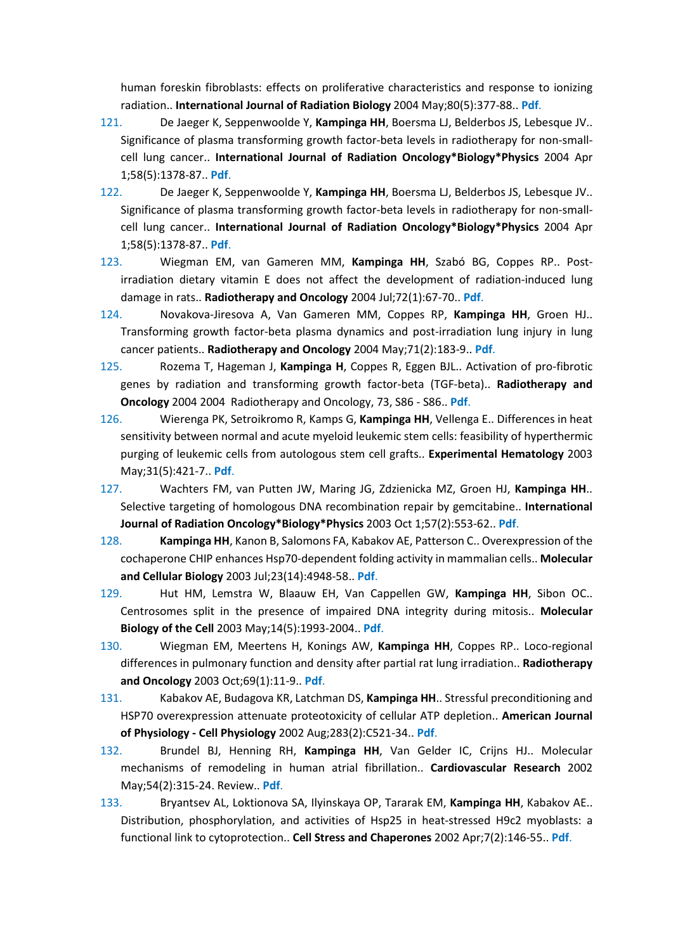human foreskin fibroblasts: effects on proliferative characteristics and response to ionizing radiation.. **International Journal of Radiation Biology** 2004 May;80(5):377-88.. **[Pdf](https://www.ncbi.nlm.nih.gov/pubmed/15223771)**.

- 121. De Jaeger K, Seppenwoolde Y, **Kampinga HH**, Boersma LJ, Belderbos JS, Lebesque JV.. Significance of plasma transforming growth factor-beta levels in radiotherapy for non-smallcell lung cancer.. **International Journal of Radiation Oncology\*Biology\*Physics** 2004 Apr 1;58(5):1378-87.. **[Pdf](https://www.ncbi.nlm.nih.gov/pubmed/15050313)**.
- 122. De Jaeger K, Seppenwoolde Y, **Kampinga HH**, Boersma LJ, Belderbos JS, Lebesque JV.. Significance of plasma transforming growth factor-beta levels in radiotherapy for non-smallcell lung cancer.. **International Journal of Radiation Oncology\*Biology\*Physics** 2004 Apr 1;58(5):1378-87.. **[Pdf](https://www.ncbi.nlm.nih.gov/pubmed/15050313)**.
- 123. Wiegman EM, van Gameren MM, **Kampinga HH**, Szabó BG, Coppes RP.. Postirradiation dietary vitamin E does not affect the development of radiation-induced lung damage in rats.. **Radiotherapy and Oncology** 2004 Jul;72(1):67-70.. **[Pdf](https://www.ncbi.nlm.nih.gov/pubmed/15236876)**.
- 124. Novakova-Jiresova A, Van Gameren MM, Coppes RP, **Kampinga HH**, Groen HJ.. Transforming growth factor-beta plasma dynamics and post-irradiation lung injury in lung cancer patients.. **Radiotherapy and Oncology** 2004 May;71(2):183-9.. **[Pdf](https://www.ncbi.nlm.nih.gov/pubmed/15110452)**.
- 125. Rozema T, Hageman J, **Kampinga H**, Coppes R, Eggen BJL.. Activation of pro-fibrotic genes by radiation and transforming growth factor-beta (TGF-beta).. **Radiotherapy and Oncology** 2004 2004 Radiotherapy and Oncology, 73, S86 - S86.. **Pdf**.
- 126. Wierenga PK, Setroikromo R, Kamps G, **Kampinga HH**, Vellenga E.. Differences in heat sensitivity between normal and acute myeloid leukemic stem cells: feasibility of hyperthermic purging of leukemic cells from autologous stem cell grafts.. **Experimental Hematology** 2003 May;31(5):421-7.. **[Pdf](https://www.ncbi.nlm.nih.gov/pubmed/12763141)**.
- 127. Wachters FM, van Putten JW, Maring JG, Zdzienicka MZ, Groen HJ, **Kampinga HH**.. Selective targeting of homologous DNA recombination repair by gemcitabine.. **International Journal of Radiation Oncology\*Biology\*Physics** 2003 Oct 1;57(2):553-62.. **[Pdf](https://www.ncbi.nlm.nih.gov/pubmed/12957269)**.
- 128. **Kampinga HH**, Kanon B, Salomons FA, Kabakov AE, Patterson C.. Overexpression of the cochaperone CHIP enhances Hsp70-dependent folding activity in mammalian cells.. **Molecular and Cellular Biology** 2003 Jul;23(14):4948-58.. **[Pdf](https://www.ncbi.nlm.nih.gov/pubmed/12832480)**.
- 129. Hut HM, Lemstra W, Blaauw EH, Van Cappellen GW, **Kampinga HH**, Sibon OC.. Centrosomes split in the presence of impaired DNA integrity during mitosis.. **Molecular Biology of the Cell** 2003 May;14(5):1993-2004.. **[Pdf](https://www.ncbi.nlm.nih.gov/pubmed/12802070)**.
- 130. Wiegman EM, Meertens H, Konings AW, **Kampinga HH**, Coppes RP.. Loco-regional differences in pulmonary function and density after partial rat lung irradiation.. **Radiotherapy and Oncology** 2003 Oct;69(1):11-9.. **[Pdf](https://www.ncbi.nlm.nih.gov/pubmed/14597352)**.
- 131. Kabakov AE, Budagova KR, Latchman DS, **Kampinga HH**.. Stressful preconditioning and HSP70 overexpression attenuate proteotoxicity of cellular ATP depletion.. **American Journal of Physiology - Cell Physiology** 2002 Aug;283(2):C521-34.. **[Pdf](https://www.ncbi.nlm.nih.gov/pubmed/12107062)**.
- 132. Brundel BJ, Henning RH, **Kampinga HH**, Van Gelder IC, Crijns HJ.. Molecular mechanisms of remodeling in human atrial fibrillation.. **Cardiovascular Research** 2002 May;54(2):315-24. Review.. **[Pdf](https://www.ncbi.nlm.nih.gov/pubmed/12062337)**.
- 133. Bryantsev AL, Loktionova SA, Ilyinskaya OP, Tararak EM, **Kampinga HH**, Kabakov AE.. Distribution, phosphorylation, and activities of Hsp25 in heat-stressed H9c2 myoblasts: a functional link to cytoprotection.. **Cell Stress and Chaperones** 2002 Apr;7(2):146-55.. **[Pdf](https://www.ncbi.nlm.nih.gov/pubmed/12380682)**.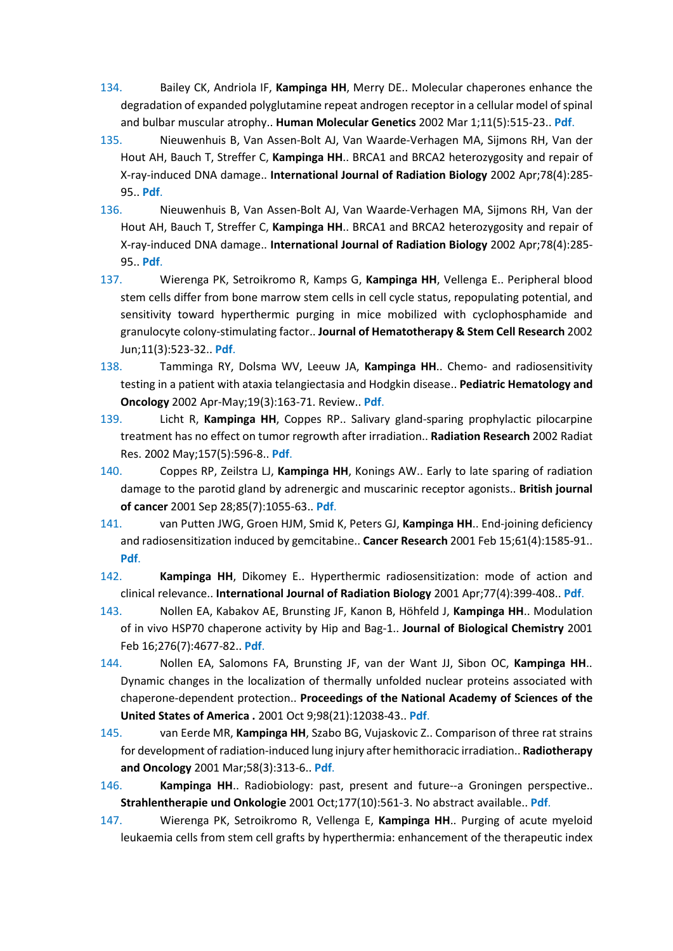- 134. Bailey CK, Andriola IF, **Kampinga HH**, Merry DE.. Molecular chaperones enhance the degradation of expanded polyglutamine repeat androgen receptor in a cellular model of spinal and bulbar muscular atrophy.. **Human Molecular Genetics** 2002 Mar 1;11(5):515-23.. **[Pdf](https://www.ncbi.nlm.nih.gov/pubmed/11875046)**.
- 135. Nieuwenhuis B, Van Assen-Bolt AJ, Van Waarde-Verhagen MA, Sijmons RH, Van der Hout AH, Bauch T, Streffer C, **Kampinga HH**.. BRCA1 and BRCA2 heterozygosity and repair of X-ray-induced DNA damage.. **International Journal of Radiation Biology** 2002 Apr;78(4):285- 95.. **[Pdf](https://www.ncbi.nlm.nih.gov/pubmed/12020440)**.
- 136. Nieuwenhuis B, Van Assen-Bolt AJ, Van Waarde-Verhagen MA, Sijmons RH, Van der Hout AH, Bauch T, Streffer C, **Kampinga HH**.. BRCA1 and BRCA2 heterozygosity and repair of X-ray-induced DNA damage.. **International Journal of Radiation Biology** 2002 Apr;78(4):285- 95.. **[Pdf](https://www.ncbi.nlm.nih.gov/pubmed/12020440)**.
- 137. Wierenga PK, Setroikromo R, Kamps G, **Kampinga HH**, Vellenga E.. Peripheral blood stem cells differ from bone marrow stem cells in cell cycle status, repopulating potential, and sensitivity toward hyperthermic purging in mice mobilized with cyclophosphamide and granulocyte colony-stimulating factor.. **Journal of Hematotherapy & Stem Cell Research** 2002 Jun;11(3):523-32.. **[Pdf](https://www.ncbi.nlm.nih.gov/pubmed/12183837)**.
- 138. Tamminga RY, Dolsma WV, Leeuw JA, **Kampinga HH**.. Chemo- and radiosensitivity testing in a patient with ataxia telangiectasia and Hodgkin disease.. **Pediatric Hematology and Oncology** 2002 Apr-May;19(3):163-71. Review.. **[Pdf](https://www.ncbi.nlm.nih.gov/pubmed/11936729)**.
- 139. Licht R, **Kampinga HH**, Coppes RP.. Salivary gland-sparing prophylactic pilocarpine treatment has no effect on tumor regrowth after irradiation.. **Radiation Research** 2002 Radiat Res. 2002 May;157(5):596-8.. **[Pdf](https://www.ncbi.nlm.nih.gov/pubmed/11966326)**.
- 140. Coppes RP, Zeilstra LJ, **Kampinga HH**, Konings AW.. Early to late sparing of radiation damage to the parotid gland by adrenergic and muscarinic receptor agonists.. **British journal of cancer** 2001 Sep 28;85(7):1055-63.. **[Pdf](https://www.ncbi.nlm.nih.gov/pubmed/11592779)**.
- 141. van Putten JWG, Groen HJM, Smid K, Peters GJ, **Kampinga HH**.. End-joining deficiency and radiosensitization induced by gemcitabine.. **Cancer Research** 2001 Feb 15;61(4):1585-91.. **[Pdf](https://www.ncbi.nlm.nih.gov/pubmed/11245469)**.
- 142. **Kampinga HH**, Dikomey E.. Hyperthermic radiosensitization: mode of action and clinical relevance.. **International Journal of Radiation Biology** 2001 Apr;77(4):399-408.. **[Pdf](https://www.ncbi.nlm.nih.gov/pubmed/11304434)**.
- 143. Nollen EA, Kabakov AE, Brunsting JF, Kanon B, Höhfeld J, **Kampinga HH**.. Modulation of in vivo HSP70 chaperone activity by Hip and Bag-1.. **Journal of Biological Chemistry** 2001 Feb 16;276(7):4677-82.. **[Pdf](https://www.ncbi.nlm.nih.gov/pubmed/11076956)**.
- 144. Nollen EA, Salomons FA, Brunsting JF, van der Want JJ, Sibon OC, **Kampinga HH**.. Dynamic changes in the localization of thermally unfolded nuclear proteins associated with chaperone-dependent protection.. **Proceedings of the National Academy of Sciences of the United States of America .** 2001 Oct 9;98(21):12038-43.. **[Pdf](https://www.ncbi.nlm.nih.gov/pubmed/11572931)**.
- 145. van Eerde MR, **Kampinga HH**, Szabo BG, Vujaskovic Z.. Comparison of three rat strains for development of radiation-induced lung injury after hemithoracic irradiation.. **Radiotherapy and Oncology** 2001 Mar;58(3):313-6.. **[Pdf](https://www.ncbi.nlm.nih.gov/pubmed/11230893)**.
- 146. **Kampinga HH**.. Radiobiology: past, present and future--a Groningen perspective.. **Strahlentherapie und Onkologie** 2001 Oct;177(10):561-3. No abstract available.. **[Pdf](https://www.ncbi.nlm.nih.gov/pubmed/11680025)**.
- 147. Wierenga PK, Setroikromo R, Vellenga E, **Kampinga HH**.. Purging of acute myeloid leukaemia cells from stem cell grafts by hyperthermia: enhancement of the therapeutic index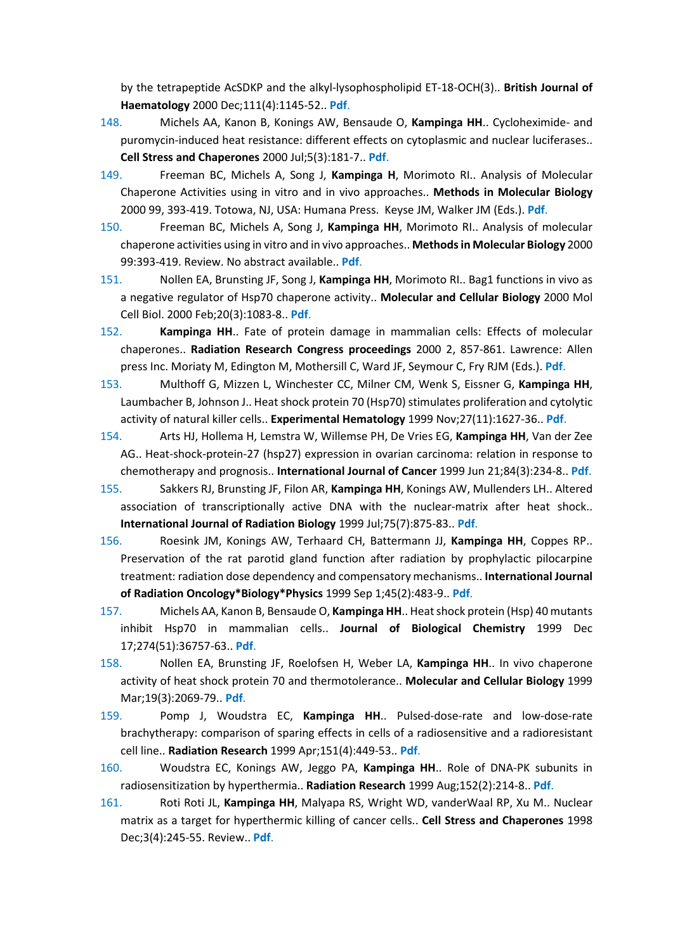by the tetrapeptide AcSDKP and the alkyl-lysophospholipid ET-18-OCH(3).. **British Journal of Haematology** 2000 Dec;111(4):1145-52.. **[Pdf](https://www.ncbi.nlm.nih.gov/pubmed/11167754)**.

- 148. Michels AA, Kanon B, Konings AW, Bensaude O, **Kampinga HH**.. Cycloheximide- and puromycin-induced heat resistance: different effects on cytoplasmic and nuclear luciferases.. **Cell Stress and Chaperones** 2000 Jul;5(3):181-7.. **[Pdf](https://www.ncbi.nlm.nih.gov/pubmed/11005376)**.
- 149. Freeman BC, Michels A, Song J, **Kampinga H**, Morimoto RI.. Analysis of Molecular Chaperone Activities using in vitro and in vivo approaches.. **Methods in Molecular Biology** 2000 99, 393-419. Totowa, NJ, USA: Humana Press. Keyse JM, Walker JM (Eds.). **Pdf**.
- 150. Freeman BC, Michels A, Song J, **Kampinga HH**, Morimoto RI.. Analysis of molecular chaperone activities using in vitro and in vivo approaches.. **Methods in Molecular Biology** 2000 99:393-419. Review. No abstract available.. **[Pdf](https://www.ncbi.nlm.nih.gov/pubmed/10909095)**.
- 151. Nollen EA, Brunsting JF, Song J, **Kampinga HH**, Morimoto RI.. Bag1 functions in vivo as a negative regulator of Hsp70 chaperone activity.. **Molecular and Cellular Biology** 2000 Mol Cell Biol. 2000 Feb;20(3):1083-8.. **[Pdf](https://www.ncbi.nlm.nih.gov/pubmed/10629065)**.
- 152. **Kampinga HH**.. Fate of protein damage in mammalian cells: Effects of molecular chaperones.. **Radiation Research Congress proceedings** 2000 2, 857-861. Lawrence: Allen press Inc. Moriaty M, Edington M, Mothersill C, Ward JF, Seymour C, Fry RJM (Eds.). **Pdf**.
- 153. Multhoff G, Mizzen L, Winchester CC, Milner CM, Wenk S, Eissner G, **Kampinga HH**, Laumbacher B, Johnson J.. Heat shock protein 70 (Hsp70) stimulates proliferation and cytolytic activity of natural killer cells.. **Experimental Hematology** 1999 Nov;27(11):1627-36.. **[Pdf](https://www.ncbi.nlm.nih.gov/pubmed/10560910)**.
- 154. Arts HJ, Hollema H, Lemstra W, Willemse PH, De Vries EG, **Kampinga HH**, Van der Zee AG.. Heat-shock-protein-27 (hsp27) expression in ovarian carcinoma: relation in response to chemotherapy and prognosis.. **International Journal of Cancer** 1999 Jun 21;84(3):234-8.. **[Pdf](https://www.ncbi.nlm.nih.gov/pubmed/10371339)**.
- 155. Sakkers RJ, Brunsting JF, Filon AR, **Kampinga HH**, Konings AW, Mullenders LH.. Altered association of transcriptionally active DNA with the nuclear-matrix after heat shock.. **International Journal of Radiation Biology** 1999 Jul;75(7):875-83.. **[Pdf](https://www.ncbi.nlm.nih.gov/pubmed/10489899)**.
- 156. Roesink JM, Konings AW, Terhaard CH, Battermann JJ, **Kampinga HH**, Coppes RP.. Preservation of the rat parotid gland function after radiation by prophylactic pilocarpine treatment: radiation dose dependency and compensatory mechanisms.. **International Journal of Radiation Oncology\*Biology\*Physics** 1999 Sep 1;45(2):483-9.. **[Pdf](https://www.ncbi.nlm.nih.gov/pubmed/10487575)**.
- 157. Michels AA, Kanon B, Bensaude O, **Kampinga HH**.. Heat shock protein (Hsp) 40 mutants inhibit Hsp70 in mammalian cells.. **Journal of Biological Chemistry** 1999 Dec 17;274(51):36757-63.. **[Pdf](https://www.ncbi.nlm.nih.gov/pubmed/10593983)**.
- 158. Nollen EA, Brunsting JF, Roelofsen H, Weber LA, **Kampinga HH**.. In vivo chaperone activity of heat shock protein 70 and thermotolerance.. **Molecular and Cellular Biology** 1999 Mar;19(3):2069-79.. **[Pdf](https://www.ncbi.nlm.nih.gov/pubmed/10022894)**.
- 159. Pomp J, Woudstra EC, **Kampinga HH**.. Pulsed-dose-rate and low-dose-rate brachytherapy: comparison of sparing effects in cells of a radiosensitive and a radioresistant cell line.. **Radiation Research** 1999 Apr;151(4):449-53.. **[Pdf](https://www.ncbi.nlm.nih.gov/pubmed/10190497)**.
- 160. Woudstra EC, Konings AW, Jeggo PA, **Kampinga HH**.. Role of DNA-PK subunits in radiosensitization by hyperthermia.. **Radiation Research** 1999 Aug;152(2):214-8.. **[Pdf](https://www.ncbi.nlm.nih.gov/pubmed/10409332)**.
- 161. Roti Roti JL, **Kampinga HH**, Malyapa RS, Wright WD, vanderWaal RP, Xu M.. Nuclear matrix as a target for hyperthermic killing of cancer cells.. **Cell Stress and Chaperones** 1998 Dec;3(4):245-55. Review.. **[Pdf](https://www.ncbi.nlm.nih.gov/pubmed/9880237)**.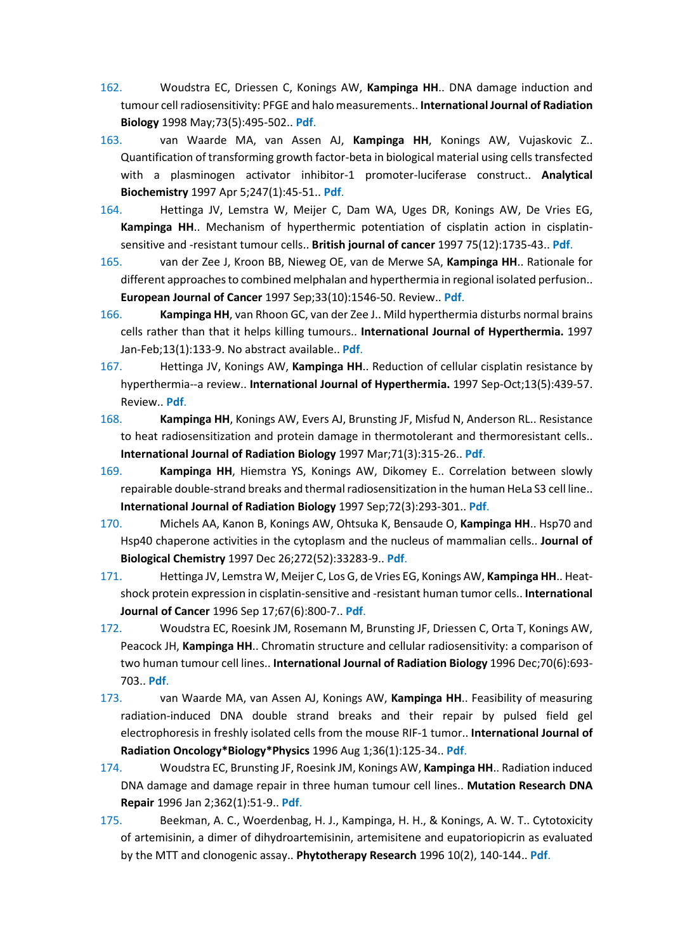- 162. Woudstra EC, Driessen C, Konings AW, **Kampinga HH**.. DNA damage induction and tumour cell radiosensitivity: PFGE and halo measurements.. **International Journal of Radiation Biology** 1998 May;73(5):495-502.. **[Pdf](https://www.ncbi.nlm.nih.gov/pubmed/9652806)**.
- 163. van Waarde MA, van Assen AJ, **Kampinga HH**, Konings AW, Vujaskovic Z.. Quantification of transforming growth factor-beta in biological material using cells transfected with a plasminogen activator inhibitor-1 promoter-luciferase construct.. **Analytical Biochemistry** 1997 Apr 5;247(1):45-51.. **[Pdf](https://www.ncbi.nlm.nih.gov/pubmed/9126369)**.
- 164. Hettinga JV, Lemstra W, Meijer C, Dam WA, Uges DR, Konings AW, De Vries EG, **Kampinga HH**.. Mechanism of hyperthermic potentiation of cisplatin action in cisplatinsensitive and -resistant tumour cells.. **British journal of cancer** 1997 75(12):1735-43.. **[Pdf](https://www.ncbi.nlm.nih.gov/pubmed/9192975)**.
- 165. van der Zee J, Kroon BB, Nieweg OE, van de Merwe SA, **Kampinga HH**.. Rationale for different approaches to combined melphalan and hyperthermia in regional isolated perfusion.. **European Journal of Cancer** 1997 Sep;33(10):1546-50. Review.. **[Pdf](https://www.ncbi.nlm.nih.gov/pubmed/9389913)**.
- 166. **Kampinga HH**, van Rhoon GC, van der Zee J.. Mild hyperthermia disturbs normal brains cells rather than that it helps killing tumours.. **International Journal of Hyperthermia.** 1997 Jan-Feb;13(1):133-9. No abstract available.. **[Pdf](https://www.ncbi.nlm.nih.gov/pubmed/9024934)**.
- 167. Hettinga JV, Konings AW, **Kampinga HH**.. Reduction of cellular cisplatin resistance by hyperthermia--a review.. **International Journal of Hyperthermia.** 1997 Sep-Oct;13(5):439-57. Review.. **[Pdf](https://www.ncbi.nlm.nih.gov/pubmed/9354931)**.
- 168. **Kampinga HH**, Konings AW, Evers AJ, Brunsting JF, Misfud N, Anderson RL.. Resistance to heat radiosensitization and protein damage in thermotolerant and thermoresistant cells.. **International Journal of Radiation Biology** 1997 Mar;71(3):315-26.. **[Pdf](https://www.ncbi.nlm.nih.gov/pubmed/9134022)**.
- 169. **Kampinga HH**, Hiemstra YS, Konings AW, Dikomey E.. Correlation between slowly repairable double-strand breaks and thermal radiosensitization in the human HeLa S3 cell line.. **International Journal of Radiation Biology** 1997 Sep;72(3):293-301.. **[Pdf](https://www.ncbi.nlm.nih.gov/pubmed/9298109)**.
- 170. Michels AA, Kanon B, Konings AW, Ohtsuka K, Bensaude O, **Kampinga HH**.. Hsp70 and Hsp40 chaperone activities in the cytoplasm and the nucleus of mammalian cells.. **Journal of Biological Chemistry** 1997 Dec 26;272(52):33283-9.. **[Pdf](https://www.ncbi.nlm.nih.gov/pubmed/9407119)**.
- 171. Hettinga JV, Lemstra W, Meijer C, Los G, de Vries EG, Konings AW, **Kampinga HH**.. Heatshock protein expression in cisplatin-sensitive and -resistant human tumor cells.. **International Journal of Cancer** 1996 Sep 17;67(6):800-7.. **[Pdf](https://www.ncbi.nlm.nih.gov/pubmed/8824551)**.
- 172. Woudstra EC, Roesink JM, Rosemann M, Brunsting JF, Driessen C, Orta T, Konings AW, Peacock JH, **Kampinga HH**.. Chromatin structure and cellular radiosensitivity: a comparison of two human tumour cell lines.. **International Journal of Radiation Biology** 1996 Dec;70(6):693- 703.. **[Pdf](https://www.ncbi.nlm.nih.gov/pubmed/8980667)**.
- 173. van Waarde MA, van Assen AJ, Konings AW, **Kampinga HH**.. Feasibility of measuring radiation-induced DNA double strand breaks and their repair by pulsed field gel electrophoresis in freshly isolated cells from the mouse RIF-1 tumor.. **International Journal of Radiation Oncology\*Biology\*Physics** 1996 Aug 1;36(1):125-34.. **[Pdf](https://www.ncbi.nlm.nih.gov/pubmed/8823267)**.
- 174. Woudstra EC, Brunsting JF, Roesink JM, Konings AW, **Kampinga HH**.. Radiation induced DNA damage and damage repair in three human tumour cell lines.. **Mutation Research DNA Repair** 1996 Jan 2;362(1):51-9.. **[Pdf](https://www.ncbi.nlm.nih.gov/pubmed/8538648)**.
- 175. Beekman, A. C., Woerdenbag, H. J., Kampinga, H. H., & Konings, A. W. T.. Cytotoxicity of artemisinin, a dimer of dihydroartemisinin, artemisitene and eupatoriopicrin as evaluated by the MTT and clonogenic assay.. **Phytotherapy Research** 1996 10(2), 140-144.. **[Pdf](http://onlinelibrary.wiley.com/doi/10.1002/(SICI)1099-1573(199603)10:2%3C140::AID-PTR792%3E3.0.CO;2-D/epdf)**.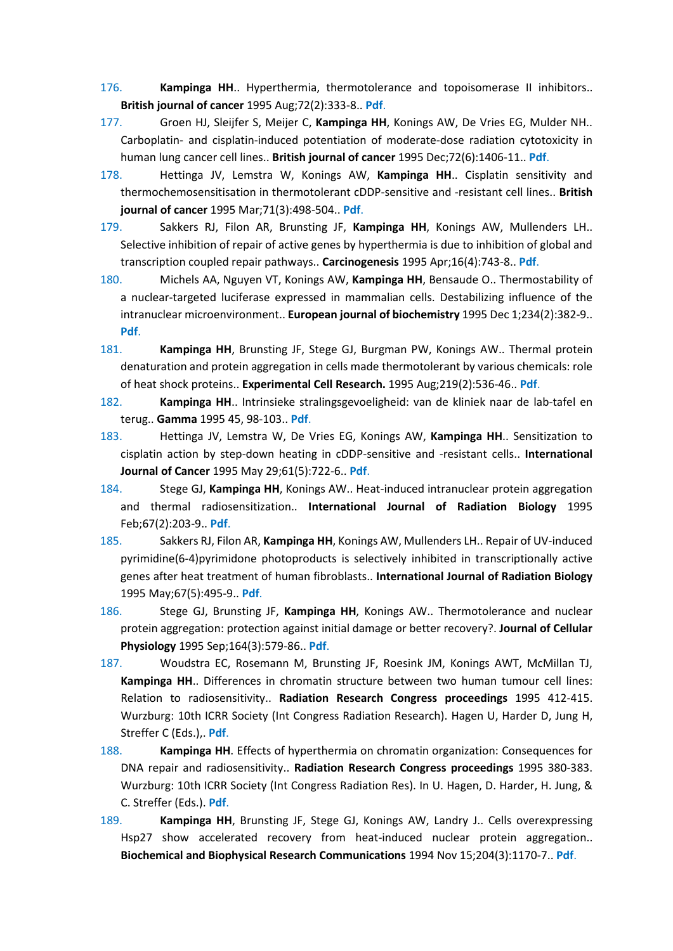- 176. **Kampinga HH**.. Hyperthermia, thermotolerance and topoisomerase II inhibitors.. **British journal of cancer** 1995 Aug;72(2):333-8.. **[Pdf](https://www.ncbi.nlm.nih.gov/pubmed/7640214)**.
- 177. Groen HJ, Sleijfer S, Meijer C, **Kampinga HH**, Konings AW, De Vries EG, Mulder NH.. Carboplatin- and cisplatin-induced potentiation of moderate-dose radiation cytotoxicity in human lung cancer cell lines.. **British journal of cancer** 1995 Dec;72(6):1406-11.. **[Pdf](https://www.ncbi.nlm.nih.gov/pubmed/8519652)**.
- 178. Hettinga JV, Lemstra W, Konings AW, **Kampinga HH**.. Cisplatin sensitivity and thermochemosensitisation in thermotolerant cDDP-sensitive and -resistant cell lines.. **British journal of cancer** 1995 Mar;71(3):498-504.. **[Pdf](https://www.ncbi.nlm.nih.gov/pubmed/7880730)**.
- 179. Sakkers RJ, Filon AR, Brunsting JF, **Kampinga HH**, Konings AW, Mullenders LH.. Selective inhibition of repair of active genes by hyperthermia is due to inhibition of global and transcription coupled repair pathways.. **Carcinogenesis** 1995 Apr;16(4):743-8.. **[Pdf](https://www.ncbi.nlm.nih.gov/pubmed/7537181)**.
- 180. Michels AA, Nguyen VT, Konings AW, **Kampinga HH**, Bensaude O.. Thermostability of a nuclear-targeted luciferase expressed in mammalian cells. Destabilizing influence of the intranuclear microenvironment.. **European journal of biochemistry** 1995 Dec 1;234(2):382-9.. **[Pdf](https://www.ncbi.nlm.nih.gov/pubmed/8536679)**.
- 181. **Kampinga HH**, Brunsting JF, Stege GJ, Burgman PW, Konings AW.. Thermal protein denaturation and protein aggregation in cells made thermotolerant by various chemicals: role of heat shock proteins.. **Experimental Cell Research.** 1995 Aug;219(2):536-46.. **[Pdf](https://www.ncbi.nlm.nih.gov/pubmed/7641806)**.
- 182. **Kampinga HH**.. Intrinsieke stralingsgevoeligheid: van de kliniek naar de lab-tafel en terug.. **Gamma** 1995 45, 98-103.. **Pdf**.
- 183. Hettinga JV, Lemstra W, De Vries EG, Konings AW, **Kampinga HH**.. Sensitization to cisplatin action by step-down heating in cDDP-sensitive and -resistant cells.. **International Journal of Cancer** 1995 May 29;61(5):722-6.. **[Pdf](https://www.ncbi.nlm.nih.gov/pubmed/7768647)**.
- 184. Stege GJ, **Kampinga HH**, Konings AW.. Heat-induced intranuclear protein aggregation and thermal radiosensitization.. **International Journal of Radiation Biology** 1995 Feb;67(2):203-9.. **[Pdf](https://www.ncbi.nlm.nih.gov/pubmed/7884289)**.
- 185. Sakkers RJ, Filon AR, **Kampinga HH**, Konings AW, Mullenders LH.. Repair of UV-induced pyrimidine(6-4)pyrimidone photoproducts is selectively inhibited in transcriptionally active genes after heat treatment of human fibroblasts.. **International Journal of Radiation Biology** 1995 May;67(5):495-9.. **[Pdf](https://www.ncbi.nlm.nih.gov/pubmed/7775824)**.
- 186. Stege GJ, Brunsting JF, **Kampinga HH**, Konings AW.. Thermotolerance and nuclear protein aggregation: protection against initial damage or better recovery?. **Journal of Cellular Physiology** 1995 Sep;164(3):579-86.. **[Pdf](https://www.ncbi.nlm.nih.gov/pubmed/7650065)**.
- 187. Woudstra EC, Rosemann M, Brunsting JF, Roesink JM, Konings AWT, McMillan TJ, **Kampinga HH**.. Differences in chromatin structure between two human tumour cell lines: Relation to radiosensitivity.. **Radiation Research Congress proceedings** 1995 412-415. Wurzburg: 10th ICRR Society (Int Congress Radiation Research). Hagen U, Harder D, Jung H, Streffer C (Eds.),. **Pdf**.
- 188. **Kampinga HH**. Effects of hyperthermia on chromatin organization: Consequences for DNA repair and radiosensitivity.. **Radiation Research Congress proceedings** 1995 380-383. Wurzburg: 10th ICRR Society (Int Congress Radiation Res). In U. Hagen, D. Harder, H. Jung, & C. Streffer (Eds.). **Pdf**.
- 189. **Kampinga HH**, Brunsting JF, Stege GJ, Konings AW, Landry J.. Cells overexpressing Hsp27 show accelerated recovery from heat-induced nuclear protein aggregation.. **Biochemical and Biophysical Research Communications** 1994 Nov 15;204(3):1170-7.. **[Pdf](https://www.ncbi.nlm.nih.gov/pubmed/7980592)**.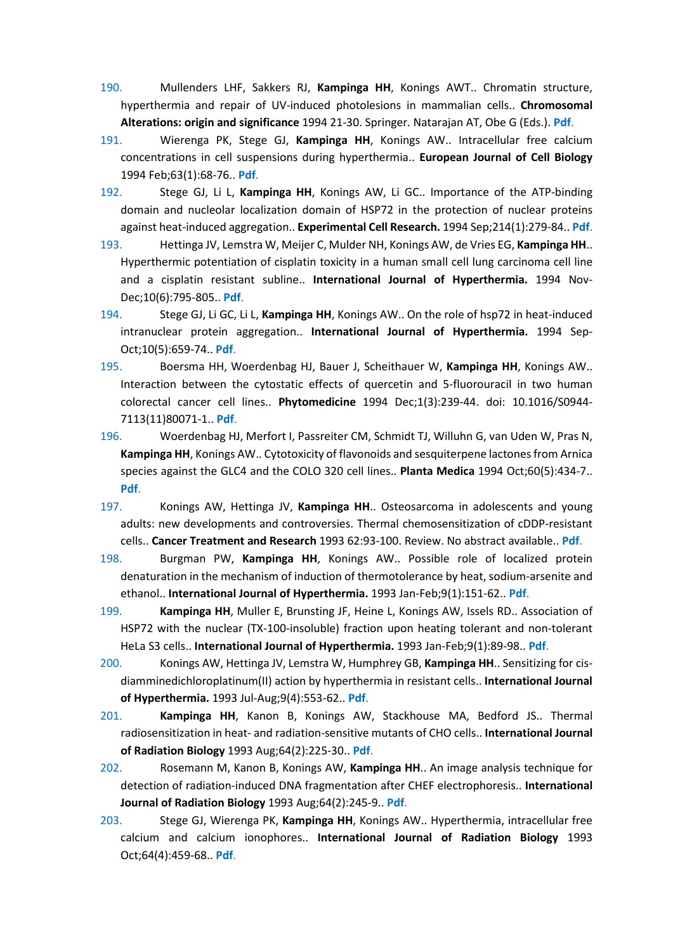- 190. Mullenders LHF, Sakkers RJ, **Kampinga HH**, Konings AWT.. Chromatin structure, hyperthermia and repair of UV-induced photolesions in mammalian cells.. **Chromosomal Alterations: origin and significance** 1994 21-30. Springer. Natarajan AT, Obe G (Eds.). **Pdf**.
- 191. Wierenga PK, Stege GJ, **Kampinga HH**, Konings AW.. Intracellular free calcium concentrations in cell suspensions during hyperthermia.. **European Journal of Cell Biology** 1994 Feb;63(1):68-76.. **[Pdf](https://www.ncbi.nlm.nih.gov/pubmed/8005107)**.
- 192. Stege GJ, Li L, **Kampinga HH**, Konings AW, Li GC.. Importance of the ATP-binding domain and nucleolar localization domain of HSP72 in the protection of nuclear proteins against heat-induced aggregation.. **Experimental Cell Research.** 1994 Sep;214(1):279-84.. **[Pdf](https://www.ncbi.nlm.nih.gov/pubmed/8082731)**.
- 193. Hettinga JV, Lemstra W, Meijer C, Mulder NH, Konings AW, de Vries EG, **Kampinga HH**.. Hyperthermic potentiation of cisplatin toxicity in a human small cell lung carcinoma cell line and a cisplatin resistant subline.. **International Journal of Hyperthermia.** 1994 Nov-Dec;10(6):795-805.. **[Pdf](https://www.ncbi.nlm.nih.gov/pubmed/7884239)**.
- 194. Stege GJ, Li GC, Li L, **Kampinga HH**, Konings AW.. On the role of hsp72 in heat-induced intranuclear protein aggregation.. **International Journal of Hyperthermia.** 1994 Sep-Oct;10(5):659-74.. **[Pdf](https://www.ncbi.nlm.nih.gov/pubmed/7806923)**.
- 195. Boersma HH, Woerdenbag HJ, Bauer J, Scheithauer W, **Kampinga HH**, Konings AW.. Interaction between the cytostatic effects of quercetin and 5-fluorouracil in two human colorectal cancer cell lines.. **Phytomedicine** 1994 Dec;1(3):239-44. doi: 10.1016/S0944- 7113(11)80071-1.. **[Pdf](https://www.ncbi.nlm.nih.gov/pubmed/23195945)**.
- 196. Woerdenbag HJ, Merfort I, Passreiter CM, Schmidt TJ, Willuhn G, van Uden W, Pras N, **Kampinga HH**, Konings AW.. Cytotoxicity of flavonoids and sesquiterpene lactones from Arnica species against the GLC4 and the COLO 320 cell lines.. **Planta Medica** 1994 Oct;60(5):434-7.. **[Pdf](https://www.ncbi.nlm.nih.gov/pubmed/7997472)**.
- 197. Konings AW, Hettinga JV, **Kampinga HH**.. Osteosarcoma in adolescents and young adults: new developments and controversies. Thermal chemosensitization of cDDP-resistant cells.. **Cancer Treatment and Research** 1993 62:93-100. Review. No abstract available.. **[Pdf](https://www.ncbi.nlm.nih.gov/pubmed/8096764)**.
- 198. Burgman PW, **Kampinga HH**, Konings AW.. Possible role of localized protein denaturation in the mechanism of induction of thermotolerance by heat, sodium-arsenite and ethanol.. **International Journal of Hyperthermia.** 1993 Jan-Feb;9(1):151-62.. **[Pdf](https://www.ncbi.nlm.nih.gov/pubmed/8381841)**.
- 199. **Kampinga HH**, Muller E, Brunsting JF, Heine L, Konings AW, Issels RD.. Association of HSP72 with the nuclear (TX-100-insoluble) fraction upon heating tolerant and non-tolerant HeLa S3 cells.. **International Journal of Hyperthermia.** 1993 Jan-Feb;9(1):89-98.. **[Pdf](https://www.ncbi.nlm.nih.gov/pubmed/8433029)**.
- 200. Konings AW, Hettinga JV, Lemstra W, Humphrey GB, **Kampinga HH**.. Sensitizing for cisdiamminedichloroplatinum(II) action by hyperthermia in resistant cells.. **International Journal of Hyperthermia.** 1993 Jul-Aug;9(4):553-62.. **[Pdf](https://www.ncbi.nlm.nih.gov/pubmed/8366305)**.
- 201. **Kampinga HH**, Kanon B, Konings AW, Stackhouse MA, Bedford JS.. Thermal radiosensitization in heat- and radiation-sensitive mutants of CHO cells.. **International Journal of Radiation Biology** 1993 Aug;64(2):225-30.. **[Pdf](https://www.ncbi.nlm.nih.gov/pubmed/8103547)**.
- 202. Rosemann M, Kanon B, Konings AW, **Kampinga HH**.. An image analysis technique for detection of radiation-induced DNA fragmentation after CHEF electrophoresis.. **International Journal of Radiation Biology** 1993 Aug;64(2):245-9.. **[Pdf](https://www.ncbi.nlm.nih.gov/pubmed/8103550)**.
- 203. Stege GJ, Wierenga PK, **Kampinga HH**, Konings AW.. Hyperthermia, intracellular free calcium and calcium ionophores.. **International Journal of Radiation Biology** 1993 Oct;64(4):459-68.. **[Pdf](https://www.ncbi.nlm.nih.gov/pubmed/7901308)**.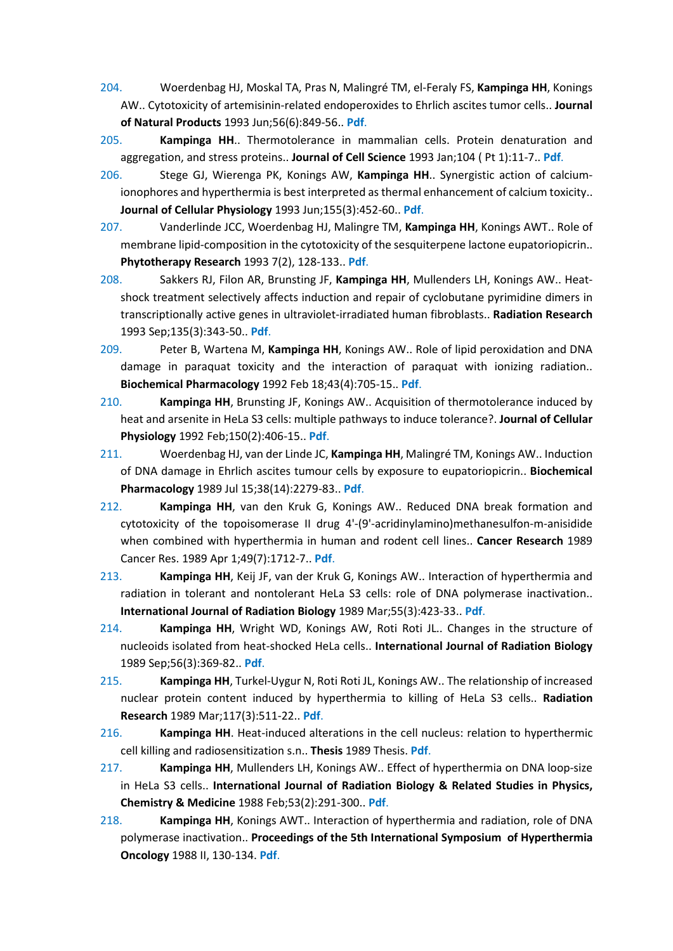- 204. Woerdenbag HJ, Moskal TA, Pras N, Malingré TM, el-Feraly FS, **Kampinga HH**, Konings AW.. Cytotoxicity of artemisinin-related endoperoxides to Ehrlich ascites tumor cells.. **Journal of Natural Products** 1993 Jun;56(6):849-56.. **[Pdf](https://www.ncbi.nlm.nih.gov/pubmed/8350087)**.
- 205. **Kampinga HH**.. Thermotolerance in mammalian cells. Protein denaturation and aggregation, and stress proteins.. **Journal of Cell Science** 1993 Jan;104 ( Pt 1):11-7.. **[Pdf](https://www.ncbi.nlm.nih.gov/pubmed/8449990)**.
- 206. Stege GJ, Wierenga PK, Konings AW, **Kampinga HH**.. Synergistic action of calciumionophores and hyperthermia is best interpreted as thermal enhancement of calcium toxicity.. **Journal of Cellular Physiology** 1993 Jun;155(3):452-60.. **[Pdf](https://www.ncbi.nlm.nih.gov/pubmed/8491786)**.
- 207. Vanderlinde JCC, Woerdenbag HJ, Malingre TM, **Kampinga HH**, Konings AWT.. Role of membrane lipid-composition in the cytotoxicity of the sesquiterpene lactone eupatoriopicrin.. **Phytotherapy Research** 1993 7(2), 128-133.. **[Pdf](http://onlinelibrary.wiley.com/doi/10.1002/ptr.2650070207/epdf)**.
- 208. Sakkers RJ, Filon AR, Brunsting JF, **Kampinga HH**, Mullenders LH, Konings AW.. Heatshock treatment selectively affects induction and repair of cyclobutane pyrimidine dimers in transcriptionally active genes in ultraviolet-irradiated human fibroblasts.. **Radiation Research** 1993 Sep;135(3):343-50.. **[Pdf](https://www.ncbi.nlm.nih.gov/pubmed/8378527)**.
- 209. Peter B, Wartena M, **Kampinga HH**, Konings AW.. Role of lipid peroxidation and DNA damage in paraquat toxicity and the interaction of paraquat with ionizing radiation.. **Biochemical Pharmacology** 1992 Feb 18;43(4):705-15.. **[Pdf](https://www.ncbi.nlm.nih.gov/pubmed/1540224)**.
- 210. **Kampinga HH**, Brunsting JF, Konings AW.. Acquisition of thermotolerance induced by heat and arsenite in HeLa S3 cells: multiple pathways to induce tolerance?. **Journal of Cellular Physiology** 1992 Feb;150(2):406-15.. **[Pdf](https://www.ncbi.nlm.nih.gov/pubmed/1370842)**.
- 211. Woerdenbag HJ, van der Linde JC, **Kampinga HH**, Malingré TM, Konings AW.. Induction of DNA damage in Ehrlich ascites tumour cells by exposure to eupatoriopicrin.. **Biochemical Pharmacology** 1989 Jul 15;38(14):2279-83.. **[Pdf](https://www.ncbi.nlm.nih.gov/pubmed/2751694)**.
- 212. **Kampinga HH**, van den Kruk G, Konings AW.. Reduced DNA break formation and cytotoxicity of the topoisomerase II drug 4'-(9'-acridinylamino)methanesulfon-m-anisidide when combined with hyperthermia in human and rodent cell lines.. **Cancer Research** 1989 Cancer Res. 1989 Apr 1;49(7):1712-7.. **[Pdf](https://www.ncbi.nlm.nih.gov/pubmed/2538233)**.
- 213. **Kampinga HH**, Keij JF, van der Kruk G, Konings AW.. Interaction of hyperthermia and radiation in tolerant and nontolerant HeLa S3 cells: role of DNA polymerase inactivation.. **International Journal of Radiation Biology** 1989 Mar;55(3):423-33.. **[Pdf](https://www.ncbi.nlm.nih.gov/pubmed/2564038)**.
- 214. **Kampinga HH**, Wright WD, Konings AW, Roti Roti JL.. Changes in the structure of nucleoids isolated from heat-shocked HeLa cells.. **International Journal of Radiation Biology** 1989 Sep;56(3):369-82.. **[Pdf](https://www.ncbi.nlm.nih.gov/pubmed/2570821)**.
- 215. **Kampinga HH**, Turkel-Uygur N, Roti Roti JL, Konings AW.. The relationship of increased nuclear protein content induced by hyperthermia to killing of HeLa S3 cells.. **Radiation Research** 1989 Mar;117(3):511-22.. **[Pdf](https://www.ncbi.nlm.nih.gov/pubmed/2928473)**.
- 216. **Kampinga HH**. Heat-induced alterations in the cell nucleus: relation to hyperthermic cell killing and radiosensitization s.n.. **Thesis** 1989 Thesis. **Pdf**.
- 217. **Kampinga HH**, Mullenders LH, Konings AW.. Effect of hyperthermia on DNA loop-size in HeLa S3 cells.. **International Journal of Radiation Biology & Related Studies in Physics, Chemistry & Medicine** 1988 Feb;53(2):291-300.. **[Pdf](https://www.ncbi.nlm.nih.gov/pubmed/3257948)**.
- 218. **Kampinga HH**, Konings AWT.. Interaction of hyperthermia and radiation, role of DNA polymerase inactivation.. **Proceedings of the 5th International Symposium of Hyperthermia Oncology** 1988 II, 130-134. **Pdf**.